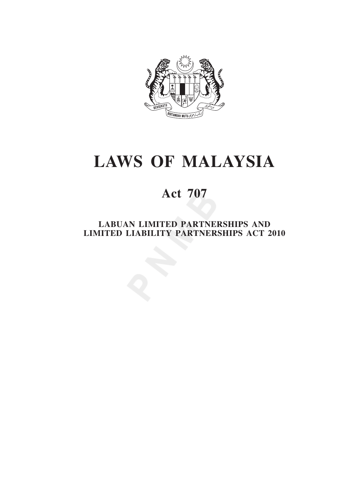

# **laws OF MALAYSIA**

# **Act 707**

**LABUAN LIMITED PARTNERSHIPS AND LIMITED LIABILITY PARTNERSHIPS ACT 2010**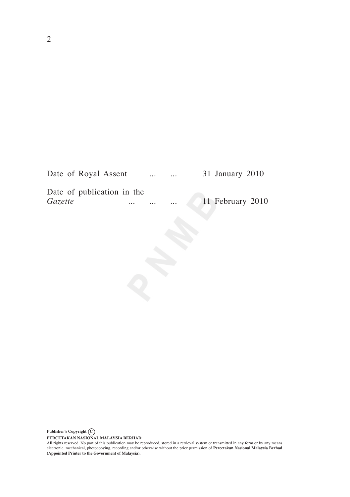| Date of Royal Assent       |          | $\cdots$ | $\cdots$ | 31 January 2010  |
|----------------------------|----------|----------|----------|------------------|
| Date of publication in the |          |          |          |                  |
| <i>Gazette</i>             | $\cdots$ | $\cdots$ | $\cdots$ | 11 February 2010 |

PERCETAKAN NASIONAL MALAYSIA BERHAD<br>All rights reserved. No part of this publication may be reproduced, stored in a retrieval system or transmitted in any form or by any means<br>electronic, mechanical, photocopying, recordin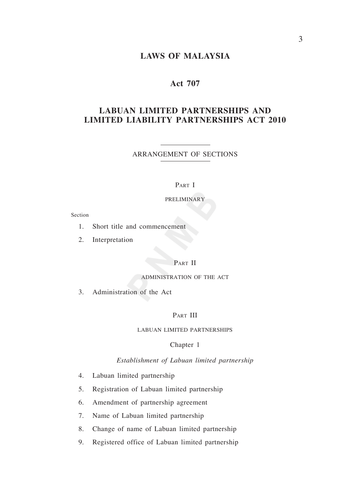#### *Liability Partnerships* **laws of malaysia**

# **Act 707**

# **LABUAN LIMITED PARTNERSHIPS AND LIMITED LIABILITY PARTNERSHIPS ACT 2010**

ARRANGEMENT OF SectionS

#### PART I

#### PRELIMINARY

Section

- 1. Short title and commencement
- 2. Interpretation

## PART II

#### ADMINISTRATION OF THE ACT

3. Administration of the Act

#### PART III

#### LABUAN LIMITED PARTNERSHIPS

#### Chapter 1

#### *Establishment of Labuan limited partnership*

- 4. Labuan limited partnership
- 5. Registration of Labuan limited partnership
- 6. Amendment of partnership agreement
- 7. Name of Labuan limited partnership
- 8. Change of name of Labuan limited partnership
- 9. Registered office of Labuan limited partnership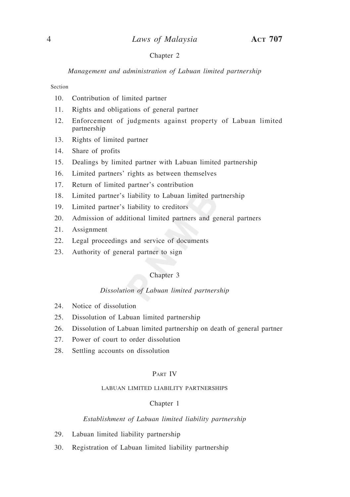#### Chapter 2

*Management and administration of Labuan limited partnership*

Section

- 10. Contribution of limited partner
- 11. Rights and obligations of general partner
- 12. Enforcement of judgments against property of Labuan limited partnership
- 13. Rights of limited partner
- 14. Share of profits
- 15. Dealings by limited partner with Labuan limited partnership
- 16. Limited partners' rights as between themselves
- 17. Return of limited partner's contribution
- 18. Limited partner's liability to Labuan limited partnership
- 19. Limited partner's liability to creditors
- 20. Admission of additional limited partners and general partners
- 21. Assignment
- 22. Legal proceedings and service of documents
- 23. Authority of general partner to sign

#### Chapter 3

#### *Dissolution of Labuan limited partnership*

- 24. Notice of dissolution
- 25. Dissolution of Labuan limited partnership
- 26. Dissolution of Labuan limited partnership on death of general partner
- 27. Power of court to order dissolution
- 28. Settling accounts on dissolution

## Part Iv

#### LABUAN LIMITED LIABILITY PARTNERSHIPS

#### Chapter 1

#### *Establishment of Labuan limited liability partnership*

- 29. Labuan limited liability partnership
- 30. Registration of Labuan limited liability partnership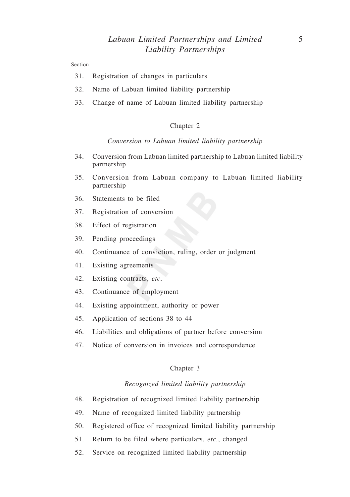#### Section

- 31. Registration of changes in particulars
- 32. Name of Labuan limited liability partnership
- 33. Change of name of Labuan limited liability partnership

#### Chapter 2

#### *Conversion to Labuan limited liability partnership*

- 34. Conversion from Labuan limited partnership to Labuan limited liability partnership
- 35. Conversion from Labuan company to Labuan limited liability partnership
- 36. Statements to be filed
- 37. Registration of conversion
- 38. Effect of registration
- 39. Pending proceedings
- 40. Continuance of conviction, ruling, order or judgment
- 41. Existing agreements
- 42. Existing contracts, *etc*.
- 43. Continuance of employment
- 44. Existing appointment, authority or power
- 45. Application of sections 38 to 44
- 46. Liabilities and obligations of partner before conversion
- 47. Notice of conversion in invoices and correspondence

#### Chapter 3

#### *Recognized limited liability partnership*

- 48. Registration of recognized limited liability partnership
- 49. Name of recognized limited liability partnership
- 50. Registered office of recognized limited liability partnership
- 51. Return to be filed where particulars, *etc*., changed
- 52. Service on recognized limited liability partnership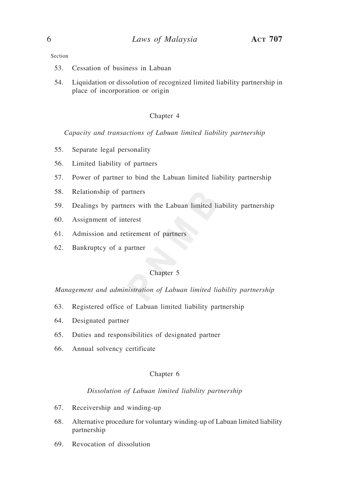#### Section

- 53. Cessation of business in Labuan
- 54. Liquidation or dissolution of recognized limited liability partnership in place of incorporation or origin

#### Chapter 4

*Capacity and transactions of Labuan limited liability partnership*

- 55. Separate legal personality
- 56. Limited liability of partners
- 57. Power of partner to bind the Labuan limited liability partnership
- 58. Relationship of partners
- 59. Dealings by partners with the Labuan limited liability partnership
- 60. Assignment of interest
- 61. Admission and retirement of partners
- 62. Bankruptcy of a partner

## Chapter 5

*Management and administration of Labuan limited liability partnership*

- 63. Registered office of Labuan limited liability partnership
- 64. Designated partner
- 65. Duties and responsibilities of designated partner
- 66. Annual solvency certificate

#### Chapter 6

#### *Dissolution of Labuan limited liability partnership*

- 67. Receivership and winding-up
- 68. Alternative procedure for voluntary winding-up of Labuan limited liability partnership
- 69. Revocation of dissolution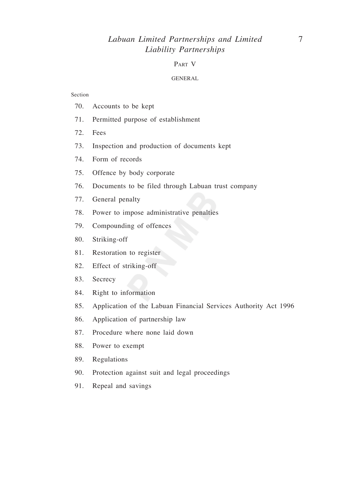# *Labuan Limited Partnerships and Limited* 7 *Liability Partnerships*

## Part V

#### GENERAL

#### Section

- 70. Accounts to be kept
- 71. Permitted purpose of establishment
- 72. Fees
- 73. Inspection and production of documents kept
- 74. Form of records
- 75. Offence by body corporate
- 76. Documents to be filed through Labuan trust company
- 77. General penalty
- 78. Power to impose administrative penalties
- 79. Compounding of offences
- 80. Striking-off
- 81. Restoration to register
- 82. Effect of striking-off
- 83. Secrecy
- 84. Right to information
- 85. Application of the Labuan Financial Services Authority Act 1996
- 86. Application of partnership law
- 87. Procedure where none laid down
- 88. Power to exempt
- 89. Regulations
- 90. Protection against suit and legal proceedings
- 91. Repeal and savings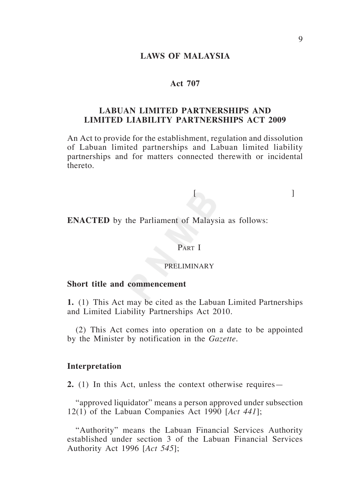#### *Liability Partnerships* **laws of malaysia**

## **Act 707**

# **LABUAN LIMITED PARTNERSHIPS AND LIMITED LIABILITY PARTNERSHIPS ACT 2009**

An Act to provide for the establishment, regulation and dissolution of Labuan limited partnerships and Labuan limited liability partnerships and for matters connected therewith or incidental thereto.

 $[$ 

**ENACTED** by the Parliament of Malaysia as follows:

## Part I

## PRELIMINARY

## **Short title and commencement**

**1.** (1) This Act may be cited as the Labuan Limited Partnerships and Limited Liability Partnerships Act 2010.

(2) This Act comes into operation on a date to be appointed by the Minister by notification in the *Gazette*.

#### **Interpretation**

**2.** (1) In this Act, unless the context otherwise requires—

"approved liquidator" means a person approved under subsection 12(1) of the Labuan Companies Act 1990 [*Act 441*];

"Authority" means the Labuan Financial Services Authority established under section 3 of the Labuan Financial Services Authority Act 1996 [*Act 545*];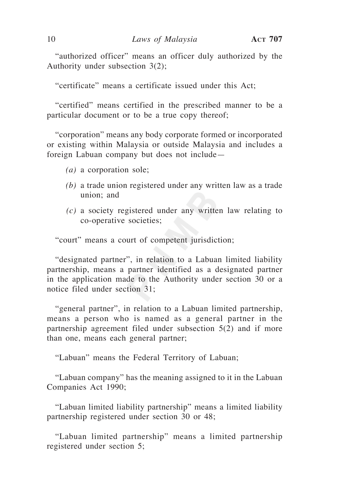"authorized officer" means an officer duly authorized by the Authority under subsection 3(2);

"certificate" means a certificate issued under this Act;

"certified" means certified in the prescribed manner to be a particular document or to be a true copy thereof;

"corporation" means any body corporate formed or incorporated or existing within Malaysia or outside Malaysia and includes a foreign Labuan company but does not include—

- *(a)* a corporation sole;
- *(b)* a trade union registered under any written law as a trade union; and
- *(c)* a society registered under any written law relating to co-operative societies;

"court" means a court of competent jurisdiction;

"designated partner", in relation to a Labuan limited liability partnership, means a partner identified as a designated partner in the application made to the Authority under section 30 or a notice filed under section 31;

"general partner", in relation to a Labuan limited partnership, means a person who is named as a general partner in the partnership agreement filed under subsection 5(2) and if more than one, means each general partner;

"Labuan" means the Federal Territory of Labuan;

"Labuan company" has the meaning assigned to it in the Labuan Companies Act 1990;

"Labuan limited liability partnership" means a limited liability partnership registered under section 30 or 48;

"Labuan limited partnership" means a limited partnership registered under section 5;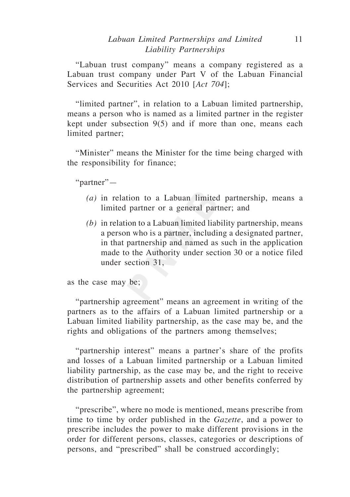# *Labuan Limited Partnerships and Limited* 11 *Liability Partnerships*

"Labuan trust company" means a company registered as a Labuan trust company under Part V of the Labuan Financial Services and Securities Act 2010 [*Act 704*];

"limited partner", in relation to a Labuan limited partnership, means a person who is named as a limited partner in the register kept under subsection 9(5) and if more than one, means each limited partner;

"Minister" means the Minister for the time being charged with the responsibility for finance;

"partner"—

- *(a)* in relation to a Labuan limited partnership, means a limited partner or a general partner; and
- *(b)* in relation to a Labuan limited liability partnership, means a person who is a partner, including a designated partner, in that partnership and named as such in the application made to the Authority under section 30 or a notice filed under section 31,

as the case may be;

"partnership agreement" means an agreement in writing of the partners as to the affairs of a Labuan limited partnership or a Labuan limited liability partnership, as the case may be, and the rights and obligations of the partners among themselves;

"partnership interest" means a partner's share of the profits and losses of a Labuan limited partnership or a Labuan limited liability partnership, as the case may be, and the right to receive distribution of partnership assets and other benefits conferred by the partnership agreement;

"prescribe", where no mode is mentioned, means prescribe from time to time by order published in the *Gazette*, and a power to prescribe includes the power to make different provisions in the order for different persons, classes, categories or descriptions of persons, and "prescribed" shall be construed accordingly;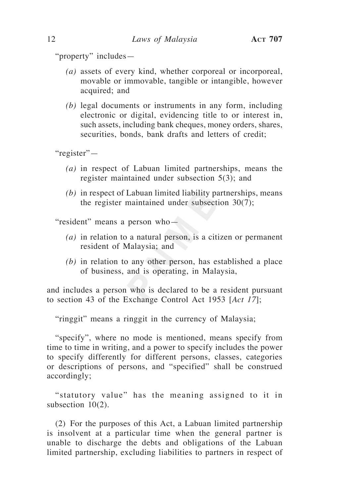"property" includes—

- *(a)* assets of every kind, whether corporeal or incorporeal, movable or immovable, tangible or intangible, however acquired; and
- *(b)* legal documents or instruments in any form, including electronic or digital, evidencing title to or interest in, such assets, including bank cheques, money orders, shares, securities, bonds, bank drafts and letters of credit:

"register"—

- *(a)* in respect of Labuan limited partnerships, means the register maintained under subsection 5(3); and
- *(b)* in respect of Labuan limited liability partnerships, means the register maintained under subsection 30(7);

"resident" means a person who—

- *(a)* in relation to a natural person, is a citizen or permanent resident of Malaysia; and
- *(b)* in relation to any other person, has established a place of business, and is operating, in Malaysia,

and includes a person who is declared to be a resident pursuant to section 43 of the Exchange Control Act 1953 [*Act 17*];

"ringgit" means a ringgit in the currency of Malaysia;

"specify", where no mode is mentioned, means specify from time to time in writing, and a power to specify includes the power to specify differently for different persons, classes, categories or descriptions of persons, and "specified" shall be construed accordingly;

"statutory value" has the meaning assigned to it in subsection  $10(2)$ .

(2) For the purposes of this Act, a Labuan limited partnership is insolvent at a particular time when the general partner is unable to discharge the debts and obligations of the Labuan limited partnership, excluding liabilities to partners in respect of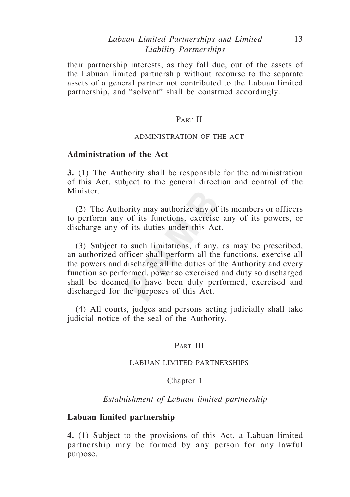# *Labuan Limited Partnerships and Limited* 13 *Liability Partnerships*

their partnership interests, as they fall due, out of the assets of the Labuan limited partnership without recourse to the separate assets of a general partner not contributed to the Labuan limited partnership, and "solvent" shall be construed accordingly.

## PART II

## ADMINISTRATION OF THE ACT

## **Administration of the Act**

**3.** (1) The Authority shall be responsible for the administration of this Act, subject to the general direction and control of the **Minister** 

(2) The Authority may authorize any of its members or officers to perform any of its functions, exercise any of its powers, or discharge any of its duties under this Act.

(3) Subject to such limitations, if any, as may be prescribed, an authorized officer shall perform all the functions, exercise all the powers and discharge all the duties of the Authority and every function so performed, power so exercised and duty so discharged shall be deemed to have been duly performed, exercised and discharged for the purposes of this Act.

(4) All courts, judges and persons acting judicially shall take judicial notice of the seal of the Authority.

## PART III

#### LABUAN LIMITED PARTNERSHIPS

#### Chapter 1

*Establishment of Labuan limited partnership*

## **Labuan limited partnership**

**4.** (1) Subject to the provisions of this Act, a Labuan limited partnership may be formed by any person for any lawful purpose.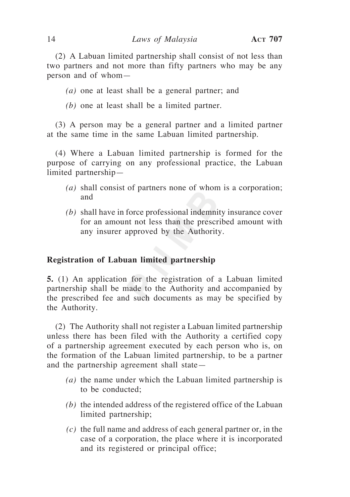(2) A Labuan limited partnership shall consist of not less than two partners and not more than fifty partners who may be any person and of whom—

*(a)* one at least shall be a general partner; and

*(b)* one at least shall be a limited partner.

(3) A person may be a general partner and a limited partner at the same time in the same Labuan limited partnership.

(4) Where a Labuan limited partnership is formed for the purpose of carrying on any professional practice, the Labuan limited partnership—

- *(a)* shall consist of partners none of whom is a corporation; and
- *(b)* shall have in force professional indemnity insurance cover for an amount not less than the prescribed amount with any insurer approved by the Authority.

## **Registration of Labuan limited partnership**

**5.** (1) An application for the registration of a Labuan limited partnership shall be made to the Authority and accompanied by the prescribed fee and such documents as may be specified by the Authority.

(2) The Authority shall not register a Labuan limited partnership unless there has been filed with the Authority a certified copy of a partnership agreement executed by each person who is, on the formation of the Labuan limited partnership, to be a partner and the partnership agreement shall state—

- *(a)* the name under which the Labuan limited partnership is to be conducted;
- *(b)* the intended address of the registered office of the Labuan limited partnership;
- *(c)* the full name and address of each general partner or, in the case of a corporation, the place where it is incorporated and its registered or principal office;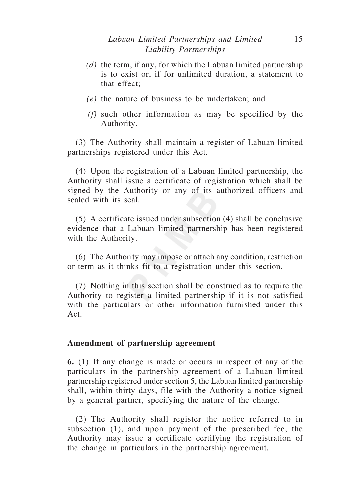- *(d)* the term, if any, for which the Labuan limited partnership is to exist or, if for unlimited duration, a statement to that effect;
- *(e)* the nature of business to be undertaken; and
- *(f)* such other information as may be specified by the Authority.

(3) The Authority shall maintain a register of Labuan limited partnerships registered under this Act.

(4) Upon the registration of a Labuan limited partnership, the Authority shall issue a certificate of registration which shall be signed by the Authority or any of its authorized officers and sealed with its seal.

(5) A certificate issued under subsection (4) shall be conclusive evidence that a Labuan limited partnership has been registered with the Authority.

(6) The Authority may impose or attach any condition, restriction or term as it thinks fit to a registration under this section.

(7) Nothing in this section shall be construed as to require the Authority to register a limited partnership if it is not satisfied with the particulars or other information furnished under this Act.

## **Amendment of partnership agreement**

**6.** (1) If any change is made or occurs in respect of any of the particulars in the partnership agreement of a Labuan limited partnership registered under section 5, the Labuan limited partnership shall, within thirty days, file with the Authority a notice signed by a general partner, specifying the nature of the change.

(2) The Authority shall register the notice referred to in subsection (1), and upon payment of the prescribed fee, the Authority may issue a certificate certifying the registration of the change in particulars in the partnership agreement.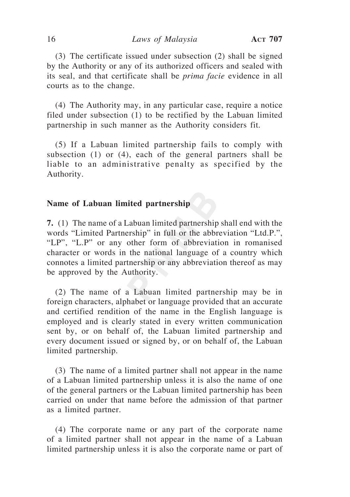(3) The certificate issued under subsection (2) shall be signed by the Authority or any of its authorized officers and sealed with its seal, and that certificate shall be *prima facie* evidence in all courts as to the change.

(4) The Authority may, in any particular case, require a notice filed under subsection (1) to be rectified by the Labuan limited partnership in such manner as the Authority considers fit.

(5) If a Labuan limited partnership fails to comply with subsection (1) or (4), each of the general partners shall be liable to an administrative penalty as specified by the Authority.

## **Name of Labuan limited partnership**

**7.** (1) The name of a Labuan limited partnership shall end with the words "Limited Partnership" in full or the abbreviation "Ltd.P.", "LP", "L.P" or any other form of abbreviation in romanised character or words in the national language of a country which connotes a limited partnership or any abbreviation thereof as may be approved by the Authority.

(2) The name of a Labuan limited partnership may be in foreign characters, alphabet or language provided that an accurate and certified rendition of the name in the English language is employed and is clearly stated in every written communication sent by, or on behalf of, the Labuan limited partnership and every document issued or signed by, or on behalf of, the Labuan limited partnership.

(3) The name of a limited partner shall not appear in the name of a Labuan limited partnership unless it is also the name of one of the general partners or the Labuan limited partnership has been carried on under that name before the admission of that partner as a limited partner.

(4) The corporate name or any part of the corporate name of a limited partner shall not appear in the name of a Labuan limited partnership unless it is also the corporate name or part of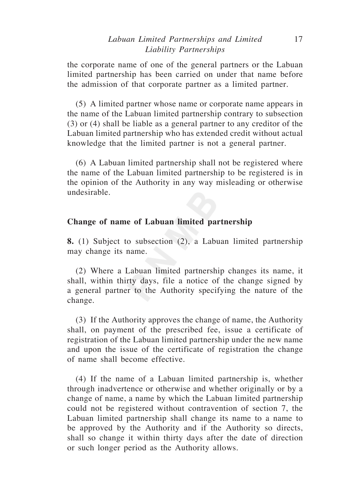# *Labuan Limited Partnerships and Limited* 17 *Liability Partnerships*

the corporate name of one of the general partners or the Labuan limited partnership has been carried on under that name before the admission of that corporate partner as a limited partner.

(5) A limited partner whose name or corporate name appears in the name of the Labuan limited partnership contrary to subsection (3) or (4) shall be liable as a general partner to any creditor of the Labuan limited partnership who has extended credit without actual knowledge that the limited partner is not a general partner.

(6) A Labuan limited partnership shall not be registered where the name of the Labuan limited partnership to be registered is in the opinion of the Authority in any way misleading or otherwise undesirable.

## **Change of name of Labuan limited partnership**

**8.** (1) Subject to subsection (2), a Labuan limited partnership may change its name.

(2) Where a Labuan limited partnership changes its name, it shall, within thirty days, file a notice of the change signed by a general partner to the Authority specifying the nature of the change.

(3) If the Authority approves the change of name, the Authority shall, on payment of the prescribed fee, issue a certificate of registration of the Labuan limited partnership under the new name and upon the issue of the certificate of registration the change of name shall become effective.

(4) If the name of a Labuan limited partnership is, whether through inadvertence or otherwise and whether originally or by a change of name, a name by which the Labuan limited partnership could not be registered without contravention of section 7, the Labuan limited partnership shall change its name to a name to be approved by the Authority and if the Authority so directs, shall so change it within thirty days after the date of direction or such longer period as the Authority allows.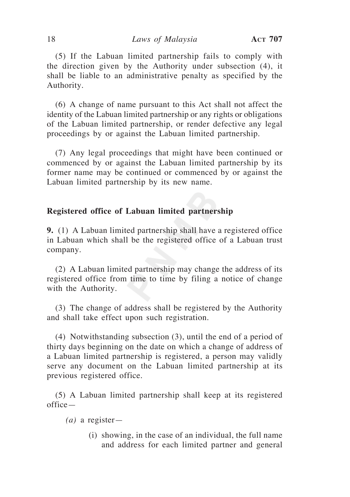(5) If the Labuan limited partnership fails to comply with the direction given by the Authority under subsection (4), it shall be liable to an administrative penalty as specified by the Authority.

(6) A change of name pursuant to this Act shall not affect the identity of the Labuan limited partnership or any rights or obligations of the Labuan limited partnership, or render defective any legal proceedings by or against the Labuan limited partnership.

(7) Any legal proceedings that might have been continued or commenced by or against the Labuan limited partnership by its former name may be continued or commenced by or against the Labuan limited partnership by its new name.

## **Registered office of Labuan limited partnership**

**9.** (1) A Labuan limited partnership shall have a registered office in Labuan which shall be the registered office of a Labuan trust company.

(2) A Labuan limited partnership may change the address of its registered office from time to time by filing a notice of change with the Authority.

(3) The change of address shall be registered by the Authority and shall take effect upon such registration.

(4) Notwithstanding subsection (3), until the end of a period of thirty days beginning on the date on which a change of address of a Labuan limited partnership is registered, a person may validly serve any document on the Labuan limited partnership at its previous registered office.

(5) A Labuan limited partnership shall keep at its registered office—

*(a)* a register—

(i) showing, in the case of an individual, the full name and address for each limited partner and general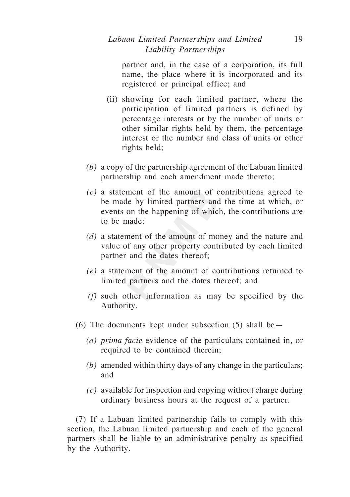partner and, in the case of a corporation, its full name, the place where it is incorporated and its registered or principal office; and

- (ii) showing for each limited partner, where the participation of limited partners is defined by percentage interests or by the number of units or other similar rights held by them, the percentage interest or the number and class of units or other rights held;
- *(b)* a copy of the partnership agreement of the Labuan limited partnership and each amendment made thereto;
- *(c)* a statement of the amount of contributions agreed to be made by limited partners and the time at which, or events on the happening of which, the contributions are to be made;
- *(d)* a statement of the amount of money and the nature and value of any other property contributed by each limited partner and the dates thereof;
- *(e)* a statement of the amount of contributions returned to limited partners and the dates thereof; and
- *(f)* such other information as may be specified by the Authority.
- (6) The documents kept under subsection  $(5)$  shall be—
	- *(a) prima facie* evidence of the particulars contained in, or required to be contained therein;
	- *(b)* amended within thirty days of any change in the particulars; and
	- *(c)* available for inspection and copying without charge during ordinary business hours at the request of a partner.

(7) If a Labuan limited partnership fails to comply with this section, the Labuan limited partnership and each of the general partners shall be liable to an administrative penalty as specified by the Authority.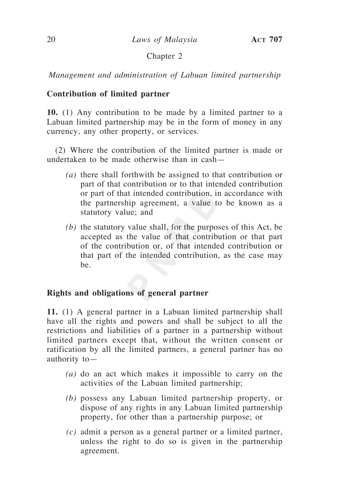# Chapter 2

*Management and administration of Labuan limited partnership*

# **Contribution of limited partner**

**10.** (1) Any contribution to be made by a limited partner to a Labuan limited partnership may be in the form of money in any currency, any other property, or services.

(2) Where the contribution of the limited partner is made or undertaken to be made otherwise than in cash—

- *(a)* there shall forthwith be assigned to that contribution or part of that contribution or to that intended contribution or part of that intended contribution, in accordance with the partnership agreement, a value to be known as a statutory value; and
- *(b)* the statutory value shall, for the purposes of this Act, be accepted as the value of that contribution or that part of the contribution or, of that intended contribution or that part of the intended contribution, as the case may be.

# **Rights and obligations of general partner**

**11.** (1) A general partner in a Labuan limited partnership shall have all the rights and powers and shall be subject to all the restrictions and liabilities of a partner in a partnership without limited partners except that, without the written consent or ratification by all the limited partners, a general partner has no authority to—

- *(a)* do an act which makes it impossible to carry on the activities of the Labuan limited partnership;
- *(b)* possess any Labuan limited partnership property, or dispose of any rights in any Labuan limited partnership property, for other than a partnership purpose; or
- *(c)* admit a person as a general partner or a limited partner, unless the right to do so is given in the partnership agreement.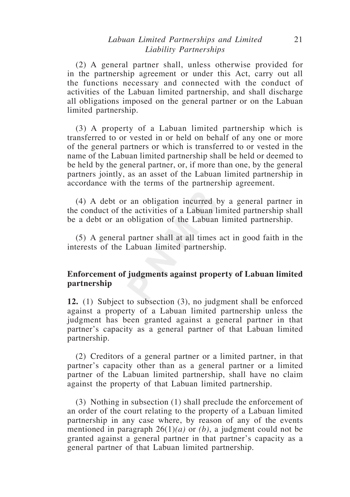# *Labuan Limited Partnerships and Limited* 21 *Liability Partnerships*

(2) A general partner shall, unless otherwise provided for in the partnership agreement or under this Act, carry out all the functions necessary and connected with the conduct of activities of the Labuan limited partnership, and shall discharge all obligations imposed on the general partner or on the Labuan limited partnership.

(3) A property of a Labuan limited partnership which is transferred to or vested in or held on behalf of any one or more of the general partners or which is transferred to or vested in the name of the Labuan limited partnership shall be held or deemed to be held by the general partner, or, if more than one, by the general partners jointly, as an asset of the Labuan limited partnership in accordance with the terms of the partnership agreement.

(4) A debt or an obligation incurred by a general partner in the conduct of the activities of a Labuan limited partnership shall be a debt or an obligation of the Labuan limited partnership.

(5) A general partner shall at all times act in good faith in the interests of the Labuan limited partnership.

# **Enforcement of judgments against property of Labuan limited partnership**

**12.** (1) Subject to subsection (3), no judgment shall be enforced against a property of a Labuan limited partnership unless the judgment has been granted against a general partner in that partner's capacity as a general partner of that Labuan limited partnership.

(2) Creditors of a general partner or a limited partner, in that partner's capacity other than as a general partner or a limited partner of the Labuan limited partnership, shall have no claim against the property of that Labuan limited partnership.

(3) Nothing in subsection (1) shall preclude the enforcement of an order of the court relating to the property of a Labuan limited partnership in any case where, by reason of any of the events mentioned in paragraph 26(1)*(a)* or *(b)*, a judgment could not be granted against a general partner in that partner's capacity as a general partner of that Labuan limited partnership.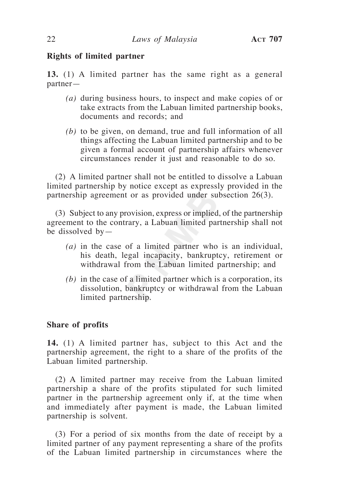# **Rights of limited partner**

**13.** (1) A limited partner has the same right as a general partner—

- *(a)* during business hours, to inspect and make copies of or take extracts from the Labuan limited partnership books, documents and records; and
- *(b)* to be given, on demand, true and full information of all things affecting the Labuan limited partnership and to be given a formal account of partnership affairs whenever circumstances render it just and reasonable to do so.

(2) A limited partner shall not be entitled to dissolve a Labuan limited partnership by notice except as expressly provided in the partnership agreement or as provided under subsection 26(3).

(3) Subject to any provision, express or implied, of the partnership agreement to the contrary, a Labuan limited partnership shall not be dissolved by—

- *(a)* in the case of a limited partner who is an individual, his death, legal incapacity, bankruptcy, retirement or withdrawal from the Labuan limited partnership; and
- *(b)* in the case of a limited partner which is a corporation, its dissolution, bankruptcy or withdrawal from the Labuan limited partnership.

# **Share of profits**

**14.** (1) A limited partner has, subject to this Act and the partnership agreement, the right to a share of the profits of the Labuan limited partnership.

(2) A limited partner may receive from the Labuan limited partnership a share of the profits stipulated for such limited partner in the partnership agreement only if, at the time when and immediately after payment is made, the Labuan limited partnership is solvent.

(3) For a period of six months from the date of receipt by a limited partner of any payment representing a share of the profits of the Labuan limited partnership in circumstances where the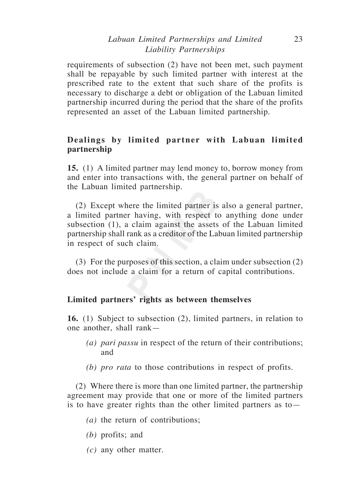# *Labuan Limited Partnerships and Limited* 23 *Liability Partnerships*

requirements of subsection (2) have not been met, such payment shall be repayable by such limited partner with interest at the prescribed rate to the extent that such share of the profits is necessary to discharge a debt or obligation of the Labuan limited partnership incurred during the period that the share of the profits represented an asset of the Labuan limited partnership.

# **Dealings by limited partner with Labuan limited partnership**

**15.** (1) A limited partner may lend money to, borrow money from and enter into transactions with, the general partner on behalf of the Labuan limited partnership.

(2) Except where the limited partner is also a general partner, a limited partner having, with respect to anything done under subsection (1), a claim against the assets of the Labuan limited partnership shall rank as a creditor of the Labuan limited partnership in respect of such claim.

(3) For the purposes of this section, a claim under subsection (2) does not include a claim for a return of capital contributions.

# **Limited partners' rights as between themselves**

**16.** (1) Subject to subsection (2), limited partners, in relation to one another, shall rank—

- *(a) pari passu* in respect of the return of their contributions; and
- *(b) pro rata* to those contributions in respect of profits.

(2) Where there is more than one limited partner, the partnership agreement may provide that one or more of the limited partners is to have greater rights than the other limited partners as to—

- *(a)* the return of contributions;
- *(b)* profits; and
- *(c)* any other matter.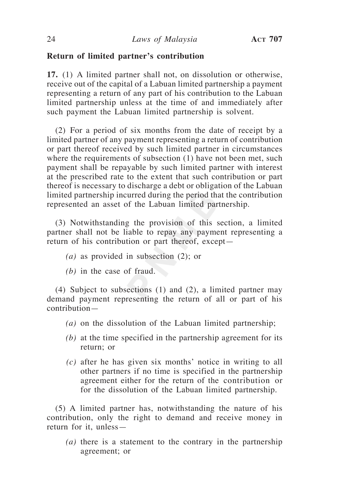# **Return of limited partner's contribution**

**17.** (1) A limited partner shall not, on dissolution or otherwise, receive out of the capital of a Labuan limited partnership a payment representing a return of any part of his contribution to the Labuan limited partnership unless at the time of and immediately after such payment the Labuan limited partnership is solvent.

(2) For a period of six months from the date of receipt by a limited partner of any payment representing a return of contribution or part thereof received by such limited partner in circumstances where the requirements of subsection (1) have not been met, such payment shall be repayable by such limited partner with interest at the prescribed rate to the extent that such contribution or part thereof is necessary to discharge a debt or obligation of the Labuan limited partnership incurred during the period that the contribution represented an asset of the Labuan limited partnership.

(3) Notwithstanding the provision of this section, a limited partner shall not be liable to repay any payment representing a return of his contribution or part thereof, except—

- *(a)* as provided in subsection (2); or
- *(b)* in the case of fraud.

(4) Subject to subsections (1) and (2), a limited partner may demand payment representing the return of all or part of his contribution—

- *(a)* on the dissolution of the Labuan limited partnership;
- *(b)* at the time specified in the partnership agreement for its return; or
- *(c)* after he has given six months' notice in writing to all other partners if no time is specified in the partnership agreement either for the return of the contribution or for the dissolution of the Labuan limited partnership.

(5) A limited partner has, notwithstanding the nature of his contribution, only the right to demand and receive money in return for it, unless—

*(a)* there is a statement to the contrary in the partnership agreement; or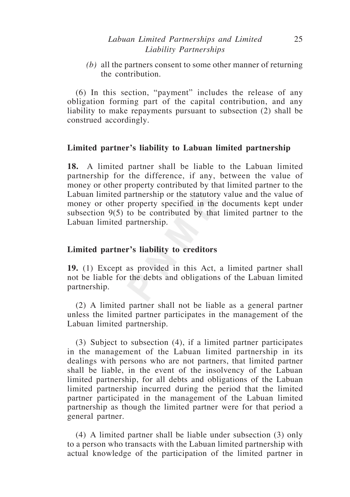# *Labuan Limited Partnerships and Limited* 25 *Liability Partnerships*

*(b)* all the partners consent to some other manner of returning the contribution.

(6) In this section, "payment" includes the release of any obligation forming part of the capital contribution, and any liability to make repayments pursuant to subsection (2) shall be construed accordingly.

# **Limited partner's liability to Labuan limited partnership**

**18.** A limited partner shall be liable to the Labuan limited partnership for the difference, if any, between the value of money or other property contributed by that limited partner to the Labuan limited partnership or the statutory value and the value of money or other property specified in the documents kept under subsection 9(5) to be contributed by that limited partner to the Labuan limited partnership.

# **Limited partner's liability to creditors**

**19.** (1) Except as provided in this Act, a limited partner shall not be liable for the debts and obligations of the Labuan limited partnership.

(2) A limited partner shall not be liable as a general partner unless the limited partner participates in the management of the Labuan limited partnership.

(3) Subject to subsection (4), if a limited partner participates in the management of the Labuan limited partnership in its dealings with persons who are not partners, that limited partner shall be liable, in the event of the insolvency of the Labuan limited partnership, for all debts and obligations of the Labuan limited partnership incurred during the period that the limited partner participated in the management of the Labuan limited partnership as though the limited partner were for that period a general partner.

(4) A limited partner shall be liable under subsection (3) only to a person who transacts with the Labuan limited partnership with actual knowledge of the participation of the limited partner in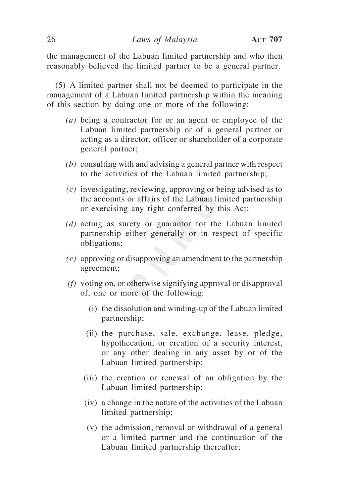the management of the Labuan limited partnership and who then reasonably believed the limited partner to be a general partner.

(5) A limited partner shall not be deemed to participate in the management of a Labuan limited partnership within the meaning of this section by doing one or more of the following:

- *(a)* being a contractor for or an agent or employee of the Labuan limited partnership or of a general partner or acting as a director, officer or shareholder of a corporate general partner;
- *(b)* consulting with and advising a general partner with respect to the activities of the Labuan limited partnership;
- *(c)* investigating, reviewing, approving or being advised as to the accounts or affairs of the Labuan limited partnership or exercising any right conferred by this Act;
- *(d)* acting as surety or guarantor for the Labuan limited partnership either generally or in respect of specific obligations;
- *(e)* approving or disapproving an amendment to the partnership agreement;
- *(f)* voting on, or otherwise signifying approval or disapproval of, one or more of the following:
	- (i) the dissolution and winding-up of the Labuan limited partnership;
	- (ii) the purchase, sale, exchange, lease, pledge, hypothecation, or creation of a security interest, or any other dealing in any asset by or of the Labuan limited partnership;
	- (iii) the creation or renewal of an obligation by the Labuan limited partnership;
	- (iv) a change in the nature of the activities of the Labuan limited partnership;
	- (v) the admission, removal or withdrawal of a general or a limited partner and the continuation of the Labuan limited partnership thereafter;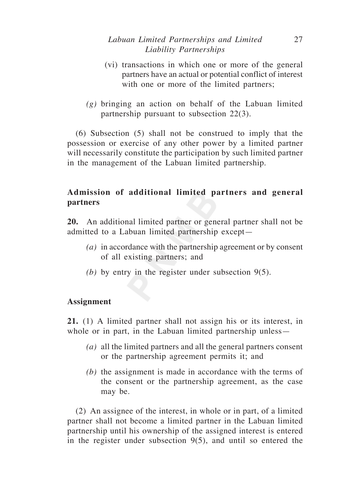# *Labuan Limited Partnerships and Limited* 27 *Liability Partnerships*

- (vi) transactions in which one or more of the general partners have an actual or potential conflict of interest with one or more of the limited partners;
- *(g)* bringing an action on behalf of the Labuan limited partnership pursuant to subsection 22(3).

(6) Subsection (5) shall not be construed to imply that the possession or exercise of any other power by a limited partner will necessarily constitute the participation by such limited partner in the management of the Labuan limited partnership.

# **Admission of additional limited partners and general partners**

**20.** An additional limited partner or general partner shall not be admitted to a Labuan limited partnership except—

- *(a)* in accordance with the partnership agreement or by consent of all existing partners; and
- *(b)* by entry in the register under subsection 9(5).

# **Assignment**

**21.** (1) A limited partner shall not assign his or its interest, in whole or in part, in the Labuan limited partnership unless—

- *(a)* all the limited partners and all the general partners consent or the partnership agreement permits it; and
- *(b)* the assignment is made in accordance with the terms of the consent or the partnership agreement, as the case may be.

(2) An assignee of the interest, in whole or in part, of a limited partner shall not become a limited partner in the Labuan limited partnership until his ownership of the assigned interest is entered in the register under subsection 9(5), and until so entered the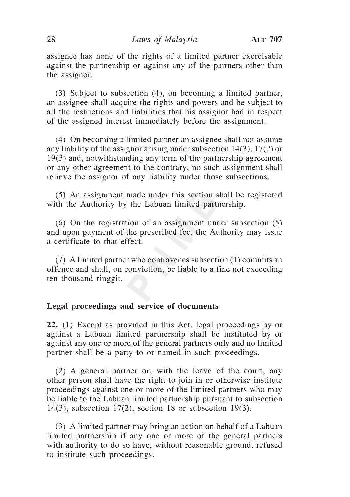assignee has none of the rights of a limited partner exercisable against the partnership or against any of the partners other than the assignor.

(3) Subject to subsection (4), on becoming a limited partner, an assignee shall acquire the rights and powers and be subject to all the restrictions and liabilities that his assignor had in respect of the assigned interest immediately before the assignment.

(4) On becoming a limited partner an assignee shall not assume any liability of the assignor arising under subsection 14(3), 17(2) or 19(3) and, notwithstanding any term of the partnership agreement or any other agreement to the contrary, no such assignment shall relieve the assignor of any liability under those subsections.

(5) An assignment made under this section shall be registered with the Authority by the Labuan limited partnership.

(6) On the registration of an assignment under subsection (5) and upon payment of the prescribed fee, the Authority may issue a certificate to that effect.

(7) A limited partner who contravenes subsection (1) commits an offence and shall, on conviction, be liable to a fine not exceeding ten thousand ringgit.

## **Legal proceedings and service of documents**

**22.** (1) Except as provided in this Act, legal proceedings by or against a Labuan limited partnership shall be instituted by or against any one or more of the general partners only and no limited partner shall be a party to or named in such proceedings.

(2) A general partner or, with the leave of the court, any other person shall have the right to join in or otherwise institute proceedings against one or more of the limited partners who may be liable to the Labuan limited partnership pursuant to subsection 14(3), subsection 17(2), section 18 or subsection 19(3).

(3) A limited partner may bring an action on behalf of a Labuan limited partnership if any one or more of the general partners with authority to do so have, without reasonable ground, refused to institute such proceedings.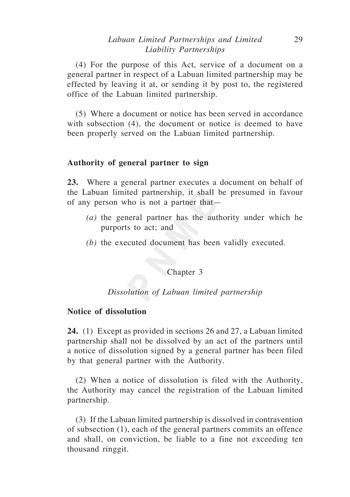# *Labuan Limited Partnerships and Limited* 29 *Liability Partnerships*

(4) For the purpose of this Act, service of a document on a general partner in respect of a Labuan limited partnership may be effected by leaving it at, or sending it by post to, the registered office of the Labuan limited partnership.

(5) Where a document or notice has been served in accordance with subsection (4), the document or notice is deemed to have been properly served on the Labuan limited partnership.

## **Authority of general partner to sign**

**23.** Where a general partner executes a document on behalf of the Labuan limited partnership, it shall be presumed in favour of any person who is not a partner that—

- *(a)* the general partner has the authority under which he purports to act; and
- *(b)* the executed document has been validly executed.

## Chapter 3

## *Dissolution of Labuan limited partnership*

## **Notice of dissolution**

**24.** (1) Except as provided in sections 26 and 27, a Labuan limited partnership shall not be dissolved by an act of the partners until a notice of dissolution signed by a general partner has been filed by that general partner with the Authority.

(2) When a notice of dissolution is filed with the Authority, the Authority may cancel the registration of the Labuan limited partnership.

(3) If the Labuan limited partnership is dissolved in contravention of subsection (1), each of the general partners commits an offence and shall, on conviction, be liable to a fine not exceeding ten thousand ringgit.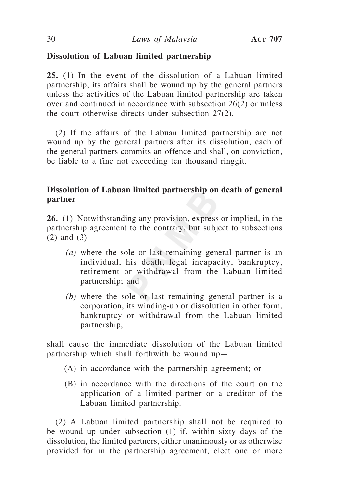# **Dissolution of Labuan limited partnership**

**25.** (1) In the event of the dissolution of a Labuan limited partnership, its affairs shall be wound up by the general partners unless the activities of the Labuan limited partnership are taken over and continued in accordance with subsection 26(2) or unless the court otherwise directs under subsection 27(2).

(2) If the affairs of the Labuan limited partnership are not wound up by the general partners after its dissolution, each of the general partners commits an offence and shall, on conviction, be liable to a fine not exceeding ten thousand ringgit.

# **Dissolution of Labuan limited partnership on death of general partner**

**26.** (1) Notwithstanding any provision, express or implied, in the partnership agreement to the contrary, but subject to subsections  $(2)$  and  $(3)$ —

- *(a)* where the sole or last remaining general partner is an individual, his death, legal incapacity, bankruptcy, retirement or withdrawal from the Labuan limited partnership; and
- *(b)* where the sole or last remaining general partner is a corporation, its winding-up or dissolution in other form, bankruptcy or withdrawal from the Labuan limited partnership,

shall cause the immediate dissolution of the Labuan limited partnership which shall forthwith be wound up—

- (A) in accordance with the partnership agreement; or
- (B) in accordance with the directions of the court on the application of a limited partner or a creditor of the Labuan limited partnership.

(2) A Labuan limited partnership shall not be required to be wound up under subsection (1) if, within sixty days of the dissolution, the limited partners, either unanimously or as otherwise provided for in the partnership agreement, elect one or more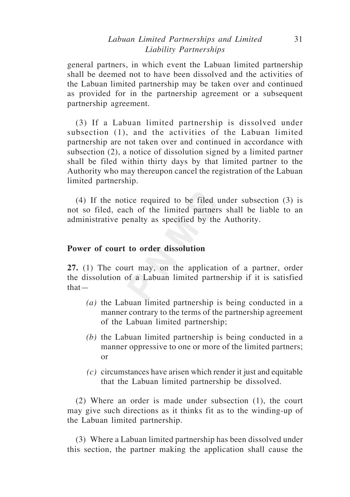# *Labuan Limited Partnerships and Limited* 31 *Liability Partnerships*

general partners, in which event the Labuan limited partnership shall be deemed not to have been dissolved and the activities of the Labuan limited partnership may be taken over and continued as provided for in the partnership agreement or a subsequent partnership agreement.

(3) If a Labuan limited partnership is dissolved under subsection (1), and the activities of the Labuan limited partnership are not taken over and continued in accordance with subsection (2), a notice of dissolution signed by a limited partner shall be filed within thirty days by that limited partner to the Authority who may thereupon cancel the registration of the Labuan limited partnership.

(4) If the notice required to be filed under subsection (3) is not so filed, each of the limited partners shall be liable to an administrative penalty as specified by the Authority.

## **Power of court to order dissolution**

**27.** (1) The court may, on the application of a partner, order the dissolution of a Labuan limited partnership if it is satisfied that—

- *(a)* the Labuan limited partnership is being conducted in a manner contrary to the terms of the partnership agreement of the Labuan limited partnership;
- *(b)* the Labuan limited partnership is being conducted in a manner oppressive to one or more of the limited partners; or
- *(c)* circumstances have arisen which render it just and equitable that the Labuan limited partnership be dissolved.

(2) Where an order is made under subsection (1), the court may give such directions as it thinks fit as to the winding-up of the Labuan limited partnership.

(3) Where a Labuan limited partnership has been dissolved under this section, the partner making the application shall cause the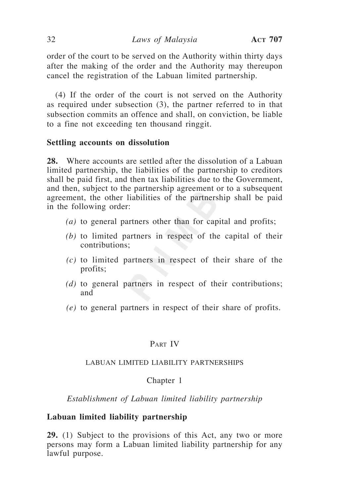order of the court to be served on the Authority within thirty days after the making of the order and the Authority may thereupon cancel the registration of the Labuan limited partnership.

(4) If the order of the court is not served on the Authority as required under subsection (3), the partner referred to in that subsection commits an offence and shall, on conviction, be liable to a fine not exceeding ten thousand ringgit.

## **Settling accounts on dissolution**

**28.** Where accounts are settled after the dissolution of a Labuan limited partnership, the liabilities of the partnership to creditors shall be paid first, and then tax liabilities due to the Government, and then, subject to the partnership agreement or to a subsequent agreement, the other liabilities of the partnership shall be paid in the following order:

- *(a)* to general partners other than for capital and profits;
- *(b)* to limited partners in respect of the capital of their contributions;
- *(c)* to limited partners in respect of their share of the profits;
- *(d)* to general partners in respect of their contributions; and
- *(e)* to general partners in respect of their share of profits.

## PART IV

#### LABUAN LIMITED LIABILITY PARTNERSHIPS

#### Chapter 1

*Establishment of Labuan limited liability partnership*

# **Labuan limited liability partnership**

**29.** (1) Subject to the provisions of this Act, any two or more persons may form a Labuan limited liability partnership for any lawful purpose.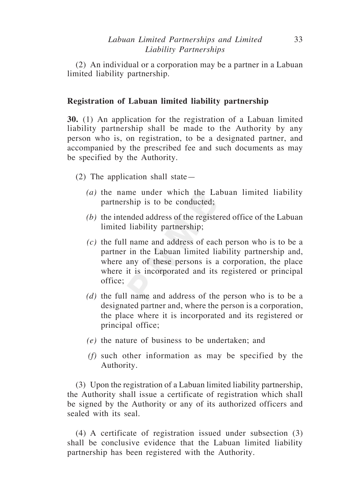(2) An individual or a corporation may be a partner in a Labuan limited liability partnership.

# **Registration of Labuan limited liability partnership**

**30.** (1) An application for the registration of a Labuan limited liability partnership shall be made to the Authority by any person who is, on registration, to be a designated partner, and accompanied by the prescribed fee and such documents as may be specified by the Authority.

- (2) The application shall state—
	- *(a)* the name under which the Labuan limited liability partnership is to be conducted;
	- *(b)* the intended address of the registered office of the Labuan limited liability partnership;
	- *(c)* the full name and address of each person who is to be a partner in the Labuan limited liability partnership and, where any of these persons is a corporation, the place where it is incorporated and its registered or principal office;
	- *(d)* the full name and address of the person who is to be a designated partner and, where the person is a corporation, the place where it is incorporated and its registered or principal office;
	- *(e)* the nature of business to be undertaken; and
	- *(f)* such other information as may be specified by the Authority.

(3) Upon the registration of a Labuan limited liability partnership, the Authority shall issue a certificate of registration which shall be signed by the Authority or any of its authorized officers and sealed with its seal.

(4) A certificate of registration issued under subsection (3) shall be conclusive evidence that the Labuan limited liability partnership has been registered with the Authority.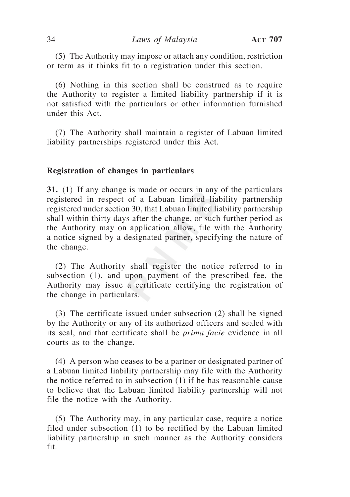(5) The Authority may impose or attach any condition, restriction or term as it thinks fit to a registration under this section.

(6) Nothing in this section shall be construed as to require the Authority to register a limited liability partnership if it is not satisfied with the particulars or other information furnished under this Act.

(7) The Authority shall maintain a register of Labuan limited liability partnerships registered under this Act.

## **Registration of changes in particulars**

**31.** (1) If any change is made or occurs in any of the particulars registered in respect of a Labuan limited liability partnership registered under section 30, that Labuan limited liability partnership shall within thirty days after the change, or such further period as the Authority may on application allow, file with the Authority a notice signed by a designated partner, specifying the nature of the change.

(2) The Authority shall register the notice referred to in subsection (1), and upon payment of the prescribed fee, the Authority may issue a certificate certifying the registration of the change in particulars.

(3) The certificate issued under subsection (2) shall be signed by the Authority or any of its authorized officers and sealed with its seal, and that certificate shall be *prima facie* evidence in all courts as to the change.

(4) A person who ceases to be a partner or designated partner of a Labuan limited liability partnership may file with the Authority the notice referred to in subsection (1) if he has reasonable cause to believe that the Labuan limited liability partnership will not file the notice with the Authority.

(5) The Authority may, in any particular case, require a notice filed under subsection (1) to be rectified by the Labuan limited liability partnership in such manner as the Authority considers fit.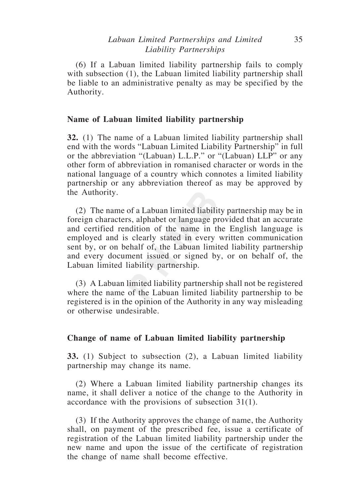# *Labuan Limited Partnerships and Limited* 35 *Liability Partnerships*

(6) If a Labuan limited liability partnership fails to comply with subsection (1), the Labuan limited liability partnership shall be liable to an administrative penalty as may be specified by the Authority.

## **Name of Labuan limited liability partnership**

**32.** (1) The name of a Labuan limited liability partnership shall end with the words "Labuan Limited Liability Partnership" in full or the abbreviation "(Labuan) L.L.P." or "(Labuan) LLP" or any other form of abbreviation in romanised character or words in the national language of a country which connotes a limited liability partnership or any abbreviation thereof as may be approved by the Authority.

(2) The name of a Labuan limited liability partnership may be in foreign characters, alphabet or language provided that an accurate and certified rendition of the name in the English language is employed and is clearly stated in every written communication sent by, or on behalf of, the Labuan limited liability partnership and every document issued or signed by, or on behalf of, the Labuan limited liability partnership.

(3) A Labuan limited liability partnership shall not be registered where the name of the Labuan limited liability partnership to be registered is in the opinion of the Authority in any way misleading or otherwise undesirable.

## **Change of name of Labuan limited liability partnership**

**33.** (1) Subject to subsection (2), a Labuan limited liability partnership may change its name.

(2) Where a Labuan limited liability partnership changes its name, it shall deliver a notice of the change to the Authority in accordance with the provisions of subsection 31(1).

(3) If the Authority approves the change of name, the Authority shall, on payment of the prescribed fee, issue a certificate of registration of the Labuan limited liability partnership under the new name and upon the issue of the certificate of registration the change of name shall become effective.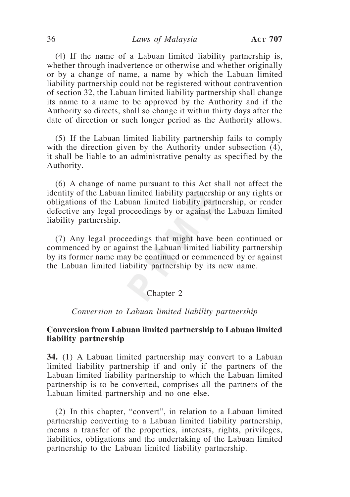(4) If the name of a Labuan limited liability partnership is, whether through inadvertence or otherwise and whether originally or by a change of name, a name by which the Labuan limited liability partnership could not be registered without contravention of section 32, the Labuan limited liability partnership shall change its name to a name to be approved by the Authority and if the Authority so directs, shall so change it within thirty days after the date of direction or such longer period as the Authority allows.

(5) If the Labuan limited liability partnership fails to comply with the direction given by the Authority under subsection  $(4)$ , it shall be liable to an administrative penalty as specified by the Authority.

(6) A change of name pursuant to this Act shall not affect the identity of the Labuan limited liability partnership or any rights or obligations of the Labuan limited liability partnership, or render defective any legal proceedings by or against the Labuan limited liability partnership.

(7) Any legal proceedings that might have been continued or commenced by or against the Labuan limited liability partnership by its former name may be continued or commenced by or against the Labuan limited liability partnership by its new name.

## Chapter 2

### *Conversion to Labuan limited liability partnership*

## **Conversion from Labuan limited partnership to Labuan limited liability partnership**

**34.** (1) A Labuan limited partnership may convert to a Labuan limited liability partnership if and only if the partners of the Labuan limited liability partnership to which the Labuan limited partnership is to be converted, comprises all the partners of the Labuan limited partnership and no one else.

(2) In this chapter, "convert", in relation to a Labuan limited partnership converting to a Labuan limited liability partnership, means a transfer of the properties, interests, rights, privileges, liabilities, obligations and the undertaking of the Labuan limited partnership to the Labuan limited liability partnership.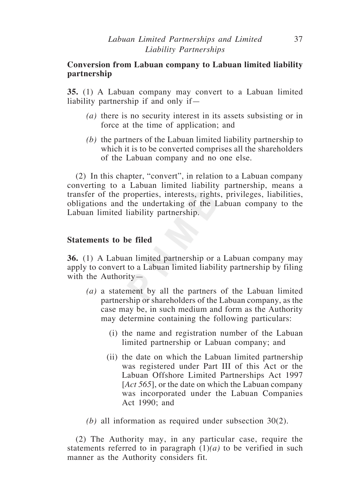# **Conversion from Labuan company to Labuan limited liability partnership**

**35.** (1) A Labuan company may convert to a Labuan limited liability partnership if and only if—

- *(a)* there is no security interest in its assets subsisting or in force at the time of application; and
- *(b)* the partners of the Labuan limited liability partnership to which it is to be converted comprises all the shareholders of the Labuan company and no one else.

(2) In this chapter, "convert", in relation to a Labuan company converting to a Labuan limited liability partnership, means a transfer of the properties, interests, rights, privileges, liabilities, obligations and the undertaking of the Labuan company to the Labuan limited liability partnership.

# **Statements to be filed**

**36.** (1) A Labuan limited partnership or a Labuan company may apply to convert to a Labuan limited liability partnership by filing with the Authority—

- *(a)* a statement by all the partners of the Labuan limited partnership or shareholders of the Labuan company, as the case may be, in such medium and form as the Authority may determine containing the following particulars:
	- (i) the name and registration number of the Labuan limited partnership or Labuan company; and
	- (ii) the date on which the Labuan limited partnership was registered under Part III of this Act or the Labuan Offshore Limited Partnerships Act 1997 [*Act 565*], or the date on which the Labuan company was incorporated under the Labuan Companies Act 1990; and
- *(b)* all information as required under subsection 30(2).

(2) The Authority may, in any particular case, require the statements referred to in paragraph  $(1)(a)$  to be verified in such manner as the Authority considers fit.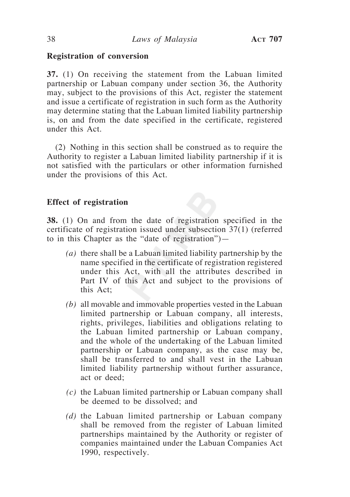#### **Registration of conversion**

**37.** (1) On receiving the statement from the Labuan limited partnership or Labuan company under section 36, the Authority may, subject to the provisions of this Act, register the statement and issue a certificate of registration in such form as the Authority may determine stating that the Labuan limited liability partnership is, on and from the date specified in the certificate, registered under this Act.

(2) Nothing in this section shall be construed as to require the Authority to register a Labuan limited liability partnership if it is not satisfied with the particulars or other information furnished under the provisions of this Act.

### **Effect of registration**

**38.** (1) On and from the date of registration specified in the certificate of registration issued under subsection 37(1) (referred to in this Chapter as the "date of registration")—

- *(a)* there shall be a Labuan limited liability partnership by the name specified in the certificate of registration registered under this Act, with all the attributes described in Part IV of this Act and subject to the provisions of this Act;
- *(b)* all movable and immovable properties vested in the Labuan limited partnership or Labuan company, all interests, rights, privileges, liabilities and obligations relating to the Labuan limited partnership or Labuan company, and the whole of the undertaking of the Labuan limited partnership or Labuan company, as the case may be, shall be transferred to and shall vest in the Labuan limited liability partnership without further assurance, act or deed;
- *(c)* the Labuan limited partnership or Labuan company shall be deemed to be dissolved; and
- *(d)* the Labuan limited partnership or Labuan company shall be removed from the register of Labuan limited partnerships maintained by the Authority or register of companies maintained under the Labuan Companies Act 1990, respectively.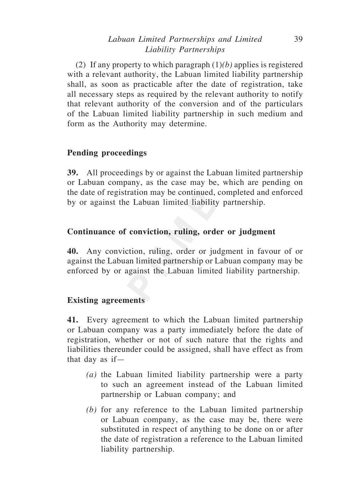# *Labuan Limited Partnerships and Limited* 39 *Liability Partnerships*

(2) If any property to which paragraph (1)*(b)* applies is registered with a relevant authority, the Labuan limited liability partnership shall, as soon as practicable after the date of registration, take all necessary steps as required by the relevant authority to notify that relevant authority of the conversion and of the particulars of the Labuan limited liability partnership in such medium and form as the Authority may determine.

# **Pending proceedings**

**39.** All proceedings by or against the Labuan limited partnership or Labuan company, as the case may be, which are pending on the date of registration may be continued, completed and enforced by or against the Labuan limited liability partnership.

### **Continuance of conviction, ruling, order or judgment**

**40.** Any conviction, ruling, order or judgment in favour of or against the Labuan limited partnership or Labuan company may be enforced by or against the Labuan limited liability partnership.

# **Existing agreements**

**41.** Every agreement to which the Labuan limited partnership or Labuan company was a party immediately before the date of registration, whether or not of such nature that the rights and liabilities thereunder could be assigned, shall have effect as from that day as if—

- *(a)* the Labuan limited liability partnership were a party to such an agreement instead of the Labuan limited partnership or Labuan company; and
- *(b)* for any reference to the Labuan limited partnership or Labuan company, as the case may be, there were substituted in respect of anything to be done on or after the date of registration a reference to the Labuan limited liability partnership.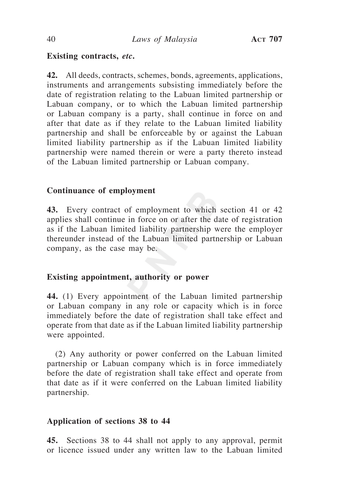# **Existing contracts,** *etc***.**

**42.** All deeds, contracts, schemes, bonds, agreements, applications, instruments and arrangements subsisting immediately before the date of registration relating to the Labuan limited partnership or Labuan company, or to which the Labuan limited partnership or Labuan company is a party, shall continue in force on and after that date as if they relate to the Labuan limited liability partnership and shall be enforceable by or against the Labuan limited liability partnership as if the Labuan limited liability partnership were named therein or were a party thereto instead of the Labuan limited partnership or Labuan company.

# **Continuance of employment**

**43.** Every contract of employment to which section 41 or 42 applies shall continue in force on or after the date of registration as if the Labuan limited liability partnership were the employer thereunder instead of the Labuan limited partnership or Labuan company, as the case may be.

# **Existing appointment, authority or power**

**44.** (1) Every appointment of the Labuan limited partnership or Labuan company in any role or capacity which is in force immediately before the date of registration shall take effect and operate from that date as if the Labuan limited liability partnership were appointed.

(2) Any authority or power conferred on the Labuan limited partnership or Labuan company which is in force immediately before the date of registration shall take effect and operate from that date as if it were conferred on the Labuan limited liability partnership.

# **Application of sections 38 to 44**

**45.** Sections 38 to 44 shall not apply to any approval, permit or licence issued under any written law to the Labuan limited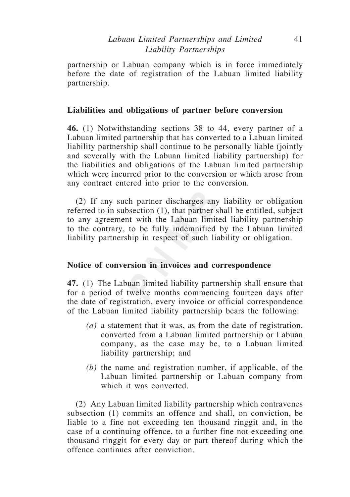partnership or Labuan company which is in force immediately before the date of registration of the Labuan limited liability partnership.

# **Liabilities and obligations of partner before conversion**

**46.** (1) Notwithstanding sections 38 to 44, every partner of a Labuan limited partnership that has converted to a Labuan limited liability partnership shall continue to be personally liable (jointly and severally with the Labuan limited liability partnership) for the liabilities and obligations of the Labuan limited partnership which were incurred prior to the conversion or which arose from any contract entered into prior to the conversion.

(2) If any such partner discharges any liability or obligation referred to in subsection (1), that partner shall be entitled, subject to any agreement with the Labuan limited liability partnership to the contrary, to be fully indemnified by the Labuan limited liability partnership in respect of such liability or obligation.

# **Notice of conversion in invoices and correspondence**

**47.** (1) The Labuan limited liability partnership shall ensure that for a period of twelve months commencing fourteen days after the date of registration, every invoice or official correspondence of the Labuan limited liability partnership bears the following:

- *(a)* a statement that it was, as from the date of registration, converted from a Labuan limited partnership or Labuan company, as the case may be, to a Labuan limited liability partnership; and
- *(b)* the name and registration number, if applicable, of the Labuan limited partnership or Labuan company from which it was converted.

(2) Any Labuan limited liability partnership which contravenes subsection (1) commits an offence and shall, on conviction, be liable to a fine not exceeding ten thousand ringgit and, in the case of a continuing offence, to a further fine not exceeding one thousand ringgit for every day or part thereof during which the offence continues after conviction.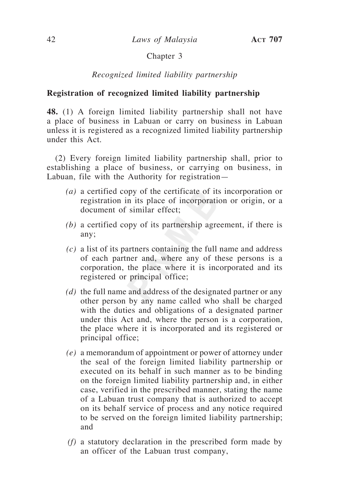# Chapter 3

# *Recognized limited liability partnership*

### **Registration of recognized limited liability partnership**

**48.** (1) A foreign limited liability partnership shall not have a place of business in Labuan or carry on business in Labuan unless it is registered as a recognized limited liability partnership under this Act.

(2) Every foreign limited liability partnership shall, prior to establishing a place of business, or carrying on business, in Labuan, file with the Authority for registration—

- *(a)* a certified copy of the certificate of its incorporation or registration in its place of incorporation or origin, or a document of similar effect;
- *(b)* a certified copy of its partnership agreement, if there is any;
- *(c)* a list of its partners containing the full name and address of each partner and, where any of these persons is a corporation, the place where it is incorporated and its registered or principal office;
- *(d)* the full name and address of the designated partner or any other person by any name called who shall be charged with the duties and obligations of a designated partner under this Act and, where the person is a corporation, the place where it is incorporated and its registered or principal office;
- *(e)* a memorandum of appointment or power of attorney under the seal of the foreign limited liability partnership or executed on its behalf in such manner as to be binding on the foreign limited liability partnership and, in either case, verified in the prescribed manner, stating the name of a Labuan trust company that is authorized to accept on its behalf service of process and any notice required to be served on the foreign limited liability partnership; and
- *(f)* a statutory declaration in the prescribed form made by an officer of the Labuan trust company,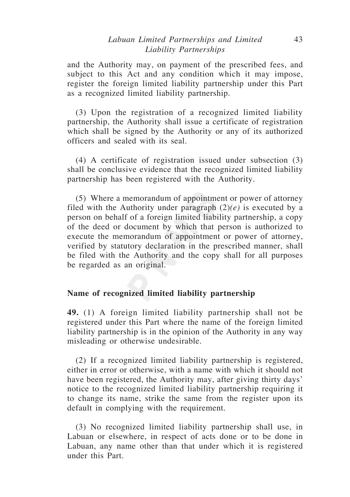# *Labuan Limited Partnerships and Limited* 43 *Liability Partnerships*

and the Authority may, on payment of the prescribed fees, and subject to this Act and any condition which it may impose, register the foreign limited liability partnership under this Part as a recognized limited liability partnership.

(3) Upon the registration of a recognized limited liability partnership, the Authority shall issue a certificate of registration which shall be signed by the Authority or any of its authorized officers and sealed with its seal.

(4) A certificate of registration issued under subsection (3) shall be conclusive evidence that the recognized limited liability partnership has been registered with the Authority.

(5) Where a memorandum of appointment or power of attorney filed with the Authority under paragraph (2)*(e)* is executed by a person on behalf of a foreign limited liability partnership, a copy of the deed or document by which that person is authorized to execute the memorandum of appointment or power of attorney, verified by statutory declaration in the prescribed manner, shall be filed with the Authority and the copy shall for all purposes be regarded as an original.

#### **Name of recognized limited liability partnership**

**49.** (1) A foreign limited liability partnership shall not be registered under this Part where the name of the foreign limited liability partnership is in the opinion of the Authority in any way misleading or otherwise undesirable.

(2) If a recognized limited liability partnership is registered, either in error or otherwise, with a name with which it should not have been registered, the Authority may, after giving thirty days' notice to the recognized limited liability partnership requiring it to change its name, strike the same from the register upon its default in complying with the requirement.

(3) No recognized limited liability partnership shall use, in Labuan or elsewhere, in respect of acts done or to be done in Labuan, any name other than that under which it is registered under this Part.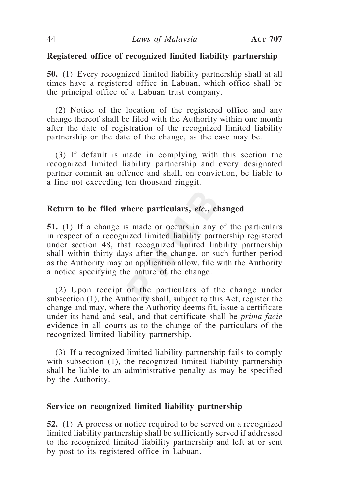#### **Registered office of recognized limited liability partnership**

**50.** (1) Every recognized limited liability partnership shall at all times have a registered office in Labuan, which office shall be the principal office of a Labuan trust company.

(2) Notice of the location of the registered office and any change thereof shall be filed with the Authority within one month after the date of registration of the recognized limited liability partnership or the date of the change, as the case may be.

(3) If default is made in complying with this section the recognized limited liability partnership and every designated partner commit an offence and shall, on conviction, be liable to a fine not exceeding ten thousand ringgit.

#### **Return to be filed where particulars,** *etc.***, changed**

**51.** (1) If a change is made or occurs in any of the particulars in respect of a recognized limited liability partnership registered under section 48, that recognized limited liability partnership shall within thirty days after the change, or such further period as the Authority may on application allow, file with the Authority a notice specifying the nature of the change.

(2) Upon receipt of the particulars of the change under subsection (1), the Authority shall, subject to this Act, register the change and may, where the Authority deems fit, issue a certificate under its hand and seal, and that certificate shall be *prima facie* evidence in all courts as to the change of the particulars of the recognized limited liability partnership.

(3) If a recognized limited liability partnership fails to comply with subsection (1), the recognized limited liability partnership shall be liable to an administrative penalty as may be specified by the Authority.

#### **Service on recognized limited liability partnership**

**52.** (1) A process or notice required to be served on a recognized limited liability partnership shall be sufficiently served if addressed to the recognized limited liability partnership and left at or sent by post to its registered office in Labuan.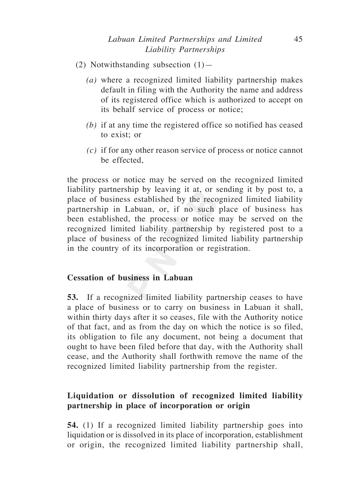- (2) Notwithstanding subsection  $(1)$ 
	- *(a)* where a recognized limited liability partnership makes default in filing with the Authority the name and address of its registered office which is authorized to accept on its behalf service of process or notice;
	- *(b)* if at any time the registered office so notified has ceased to exist; or
	- *(c)* if for any other reason service of process or notice cannot be effected

the process or notice may be served on the recognized limited liability partnership by leaving it at, or sending it by post to, a place of business established by the recognized limited liability partnership in Labuan, or, if no such place of business has been established, the process or notice may be served on the recognized limited liability partnership by registered post to a place of business of the recognized limited liability partnership in the country of its incorporation or registration.

# **Cessation of business in Labuan**

**53.** If a recognized limited liability partnership ceases to have a place of business or to carry on business in Labuan it shall, within thirty days after it so ceases, file with the Authority notice of that fact, and as from the day on which the notice is so filed, its obligation to file any document, not being a document that ought to have been filed before that day, with the Authority shall cease, and the Authority shall forthwith remove the name of the recognized limited liability partnership from the register.

# **Liquidation or dissolution of recognized limited liability partnership in place of incorporation or origin**

**54.** (1) If a recognized limited liability partnership goes into liquidation or is dissolved in its place of incorporation, establishment or origin, the recognized limited liability partnership shall,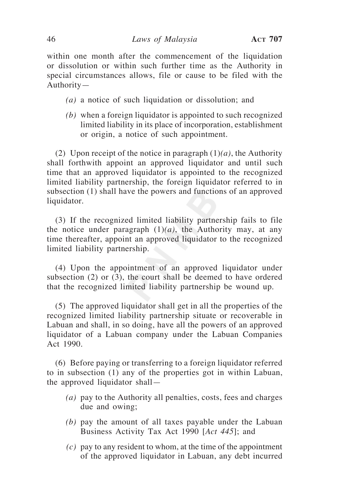within one month after the commencement of the liquidation or dissolution or within such further time as the Authority in special circumstances allows, file or cause to be filed with the Authority—

- *(a)* a notice of such liquidation or dissolution; and
- *(b)* when a foreign liquidator is appointed to such recognized limited liability in its place of incorporation, establishment or origin, a notice of such appointment.

(2) Upon receipt of the notice in paragraph (1)*(a)*, the Authority shall forthwith appoint an approved liquidator and until such time that an approved liquidator is appointed to the recognized limited liability partnership, the foreign liquidator referred to in subsection (1) shall have the powers and functions of an approved liquidator.

(3) If the recognized limited liability partnership fails to file the notice under paragraph  $(1)(a)$ , the Authority may, at any time thereafter, appoint an approved liquidator to the recognized limited liability partnership.

(4) Upon the appointment of an approved liquidator under subsection (2) or (3), the court shall be deemed to have ordered that the recognized limited liability partnership be wound up.

(5) The approved liquidator shall get in all the properties of the recognized limited liability partnership situate or recoverable in Labuan and shall, in so doing, have all the powers of an approved liquidator of a Labuan company under the Labuan Companies Act 1990.

(6) Before paying or transferring to a foreign liquidator referred to in subsection (1) any of the properties got in within Labuan, the approved liquidator shall—

- *(a)* pay to the Authority all penalties, costs, fees and charges due and owing;
- *(b)* pay the amount of all taxes payable under the Labuan Business Activity Tax Act 1990 [*Act 445*]; and
- *(c)* pay to any resident to whom, at the time of the appointment of the approved liquidator in Labuan, any debt incurred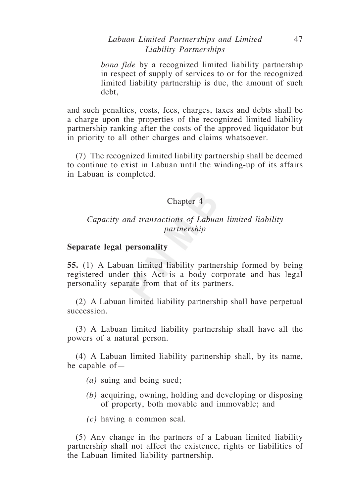# *Labuan Limited Partnerships and Limited* 47 *Liability Partnerships*

*bona fide* by a recognized limited liability partnership in respect of supply of services to or for the recognized limited liability partnership is due, the amount of such debt,

and such penalties, costs, fees, charges, taxes and debts shall be a charge upon the properties of the recognized limited liability partnership ranking after the costs of the approved liquidator but in priority to all other charges and claims whatsoever.

(7) The recognized limited liability partnership shall be deemed to continue to exist in Labuan until the winding-up of its affairs in Labuan is completed.

### Chapter 4

## *Capacity and transactions of Labuan limited liability partnership*

#### **Separate legal personality**

**55.** (1) A Labuan limited liability partnership formed by being registered under this Act is a body corporate and has legal personality separate from that of its partners.

(2) A Labuan limited liability partnership shall have perpetual succession.

(3) A Labuan limited liability partnership shall have all the powers of a natural person.

(4) A Labuan limited liability partnership shall, by its name, be capable of—

- *(a)* suing and being sued;
- *(b)* acquiring, owning, holding and developing or disposing of property, both movable and immovable; and
- *(c)* having a common seal.

(5) Any change in the partners of a Labuan limited liability partnership shall not affect the existence, rights or liabilities of the Labuan limited liability partnership.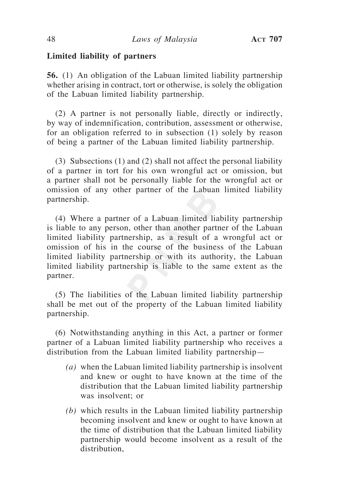#### **Limited liability of partners**

**56.** (1) An obligation of the Labuan limited liability partnership whether arising in contract, tort or otherwise, is solely the obligation of the Labuan limited liability partnership.

(2) A partner is not personally liable, directly or indirectly, by way of indemnification, contribution, assessment or otherwise, for an obligation referred to in subsection (1) solely by reason of being a partner of the Labuan limited liability partnership.

(3) Subsections (1) and (2) shall not affect the personal liability of a partner in tort for his own wrongful act or omission, but a partner shall not be personally liable for the wrongful act or omission of any other partner of the Labuan limited liability partnership.

(4) Where a partner of a Labuan limited liability partnership is liable to any person, other than another partner of the Labuan limited liability partnership, as a result of a wrongful act or omission of his in the course of the business of the Labuan limited liability partnership or with its authority, the Labuan limited liability partnership is liable to the same extent as the partner.

(5) The liabilities of the Labuan limited liability partnership shall be met out of the property of the Labuan limited liability partnership.

(6) Notwithstanding anything in this Act, a partner or former partner of a Labuan limited liability partnership who receives a distribution from the Labuan limited liability partnership—

- *(a)* when the Labuan limited liability partnership is insolvent and knew or ought to have known at the time of the distribution that the Labuan limited liability partnership was insolvent; or
- *(b)* which results in the Labuan limited liability partnership becoming insolvent and knew or ought to have known at the time of distribution that the Labuan limited liability partnership would become insolvent as a result of the distribution,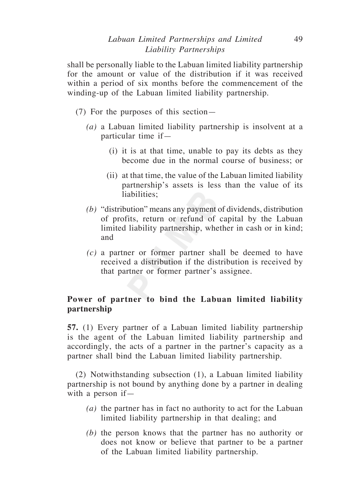shall be personally liable to the Labuan limited liability partnership for the amount or value of the distribution if it was received within a period of six months before the commencement of the winding-up of the Labuan limited liability partnership.

- (7) For the purposes of this section—
	- *(a)* a Labuan limited liability partnership is insolvent at a particular time if—
		- (i) it is at that time, unable to pay its debts as they become due in the normal course of business; or
		- (ii) at that time, the value of the Labuan limited liability partnership's assets is less than the value of its liabilities;
	- *(b)* "distribution" means any payment of dividends, distribution of profits, return or refund of capital by the Labuan limited liability partnership, whether in cash or in kind; and
	- *(c)* a partner or former partner shall be deemed to have received a distribution if the distribution is received by that partner or former partner's assignee.

# **Power of partner to bind the Labuan limited liability partnership**

**57.** (1) Every partner of a Labuan limited liability partnership is the agent of the Labuan limited liability partnership and accordingly, the acts of a partner in the partner's capacity as a partner shall bind the Labuan limited liability partnership.

(2) Notwithstanding subsection (1), a Labuan limited liability partnership is not bound by anything done by a partner in dealing with a person if—

- *(a)* the partner has in fact no authority to act for the Labuan limited liability partnership in that dealing; and
- *(b)* the person knows that the partner has no authority or does not know or believe that partner to be a partner of the Labuan limited liability partnership.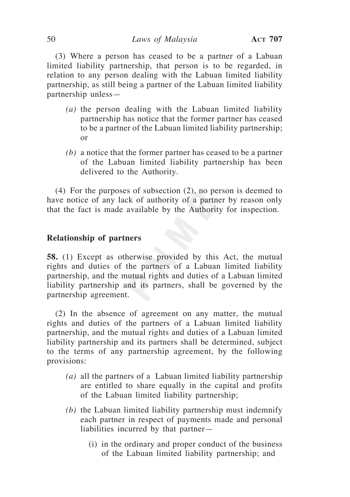(3) Where a person has ceased to be a partner of a Labuan limited liability partnership, that person is to be regarded, in relation to any person dealing with the Labuan limited liability partnership, as still being a partner of the Labuan limited liability partnership unless—

- *(a)* the person dealing with the Labuan limited liability partnership has notice that the former partner has ceased to be a partner of the Labuan limited liability partnership; or
- *(b)* a notice that the former partner has ceased to be a partner of the Labuan limited liability partnership has been delivered to the Authority.

(4) For the purposes of subsection (2), no person is deemed to have notice of any lack of authority of a partner by reason only that the fact is made available by the Authority for inspection.

#### **Relationship of partners**

**58.** (1) Except as otherwise provided by this Act, the mutual rights and duties of the partners of a Labuan limited liability partnership, and the mutual rights and duties of a Labuan limited liability partnership and its partners, shall be governed by the partnership agreement.

(2) In the absence of agreement on any matter, the mutual rights and duties of the partners of a Labuan limited liability partnership, and the mutual rights and duties of a Labuan limited liability partnership and its partners shall be determined, subject to the terms of any partnership agreement, by the following provisions:

- *(a)* all the partners of a Labuan limited liability partnership are entitled to share equally in the capital and profits of the Labuan limited liability partnership;
- *(b)* the Labuan limited liability partnership must indemnify each partner in respect of payments made and personal liabilities incurred by that partner—
	- (i) in the ordinary and proper conduct of the business of the Labuan limited liability partnership; and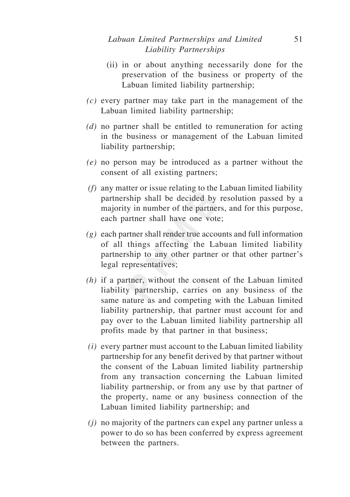# *Labuan Limited Partnerships and Limited* 51 *Liability Partnerships*

- (ii) in or about anything necessarily done for the preservation of the business or property of the Labuan limited liability partnership;
- *(c)* every partner may take part in the management of the Labuan limited liability partnership;
- *(d)* no partner shall be entitled to remuneration for acting in the business or management of the Labuan limited liability partnership;
- *(e)* no person may be introduced as a partner without the consent of all existing partners;
- *(f)* any matter or issue relating to the Labuan limited liability partnership shall be decided by resolution passed by a majority in number of the partners, and for this purpose, each partner shall have one vote;
- *(g)* each partner shall render true accounts and full information of all things affecting the Labuan limited liability partnership to any other partner or that other partner's legal representatives;
- *(h)* if a partner, without the consent of the Labuan limited liability partnership, carries on any business of the same nature as and competing with the Labuan limited liability partnership, that partner must account for and pay over to the Labuan limited liability partnership all profits made by that partner in that business;
- *(i)* every partner must account to the Labuan limited liability partnership for any benefit derived by that partner without the consent of the Labuan limited liability partnership from any transaction concerning the Labuan limited liability partnership, or from any use by that partner of the property, name or any business connection of the Labuan limited liability partnership; and
- *(j)* no majority of the partners can expel any partner unless a power to do so has been conferred by express agreement between the partners.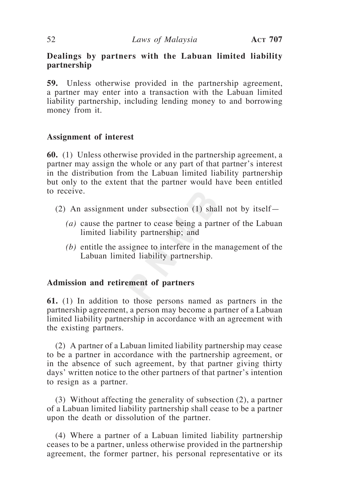# **Dealings by partners with the Labuan limited liability partnership**

**59.** Unless otherwise provided in the partnership agreement, a partner may enter into a transaction with the Labuan limited liability partnership, including lending money to and borrowing money from it.

# **Assignment of interest**

**60.** (1) Unless otherwise provided in the partnership agreement, a partner may assign the whole or any part of that partner's interest in the distribution from the Labuan limited liability partnership but only to the extent that the partner would have been entitled to receive.

- (2) An assignment under subsection (1) shall not by itself—
	- *(a)* cause the partner to cease being a partner of the Labuan limited liability partnership; and
	- *(b)* entitle the assignee to interfere in the management of the Labuan limited liability partnership.

# **Admission and retirement of partners**

**61.** (1) In addition to those persons named as partners in the partnership agreement, a person may become a partner of a Labuan limited liability partnership in accordance with an agreement with the existing partners.

(2) A partner of a Labuan limited liability partnership may cease to be a partner in accordance with the partnership agreement, or in the absence of such agreement, by that partner giving thirty days' written notice to the other partners of that partner's intention to resign as a partner.

(3) Without affecting the generality of subsection (2), a partner of a Labuan limited liability partnership shall cease to be a partner upon the death or dissolution of the partner.

(4) Where a partner of a Labuan limited liability partnership ceases to be a partner, unless otherwise provided in the partnership agreement, the former partner, his personal representative or its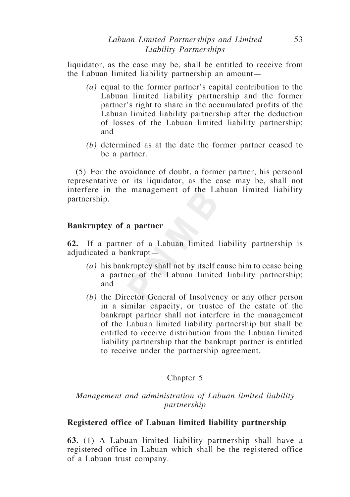liquidator, as the case may be, shall be entitled to receive from the Labuan limited liability partnership an amount—

- *(a)* equal to the former partner's capital contribution to the Labuan limited liability partnership and the former partner's right to share in the accumulated profits of the Labuan limited liability partnership after the deduction of losses of the Labuan limited liability partnership; and
- *(b)* determined as at the date the former partner ceased to be a partner.

(5) For the avoidance of doubt, a former partner, his personal representative or its liquidator, as the case may be, shall not interfere in the management of the Labuan limited liability partnership.

# **Bankruptcy of a partner**

**62.** If a partner of a Labuan limited liability partnership is adjudicated a bankrupt—

- *(a)* his bankruptcy shall not by itself cause him to cease being a partner of the Labuan limited liability partnership; and
- *(b)* the Director General of Insolvency or any other person in a similar capacity, or trustee of the estate of the bankrupt partner shall not interfere in the management of the Labuan limited liability partnership but shall be entitled to receive distribution from the Labuan limited liability partnership that the bankrupt partner is entitled to receive under the partnership agreement.

# Chapter 5

# *Management and administration of Labuan limited liability partnership*

# **Registered office of Labuan limited liability partnership**

**63.** (1) A Labuan limited liability partnership shall have a registered office in Labuan which shall be the registered office of a Labuan trust company.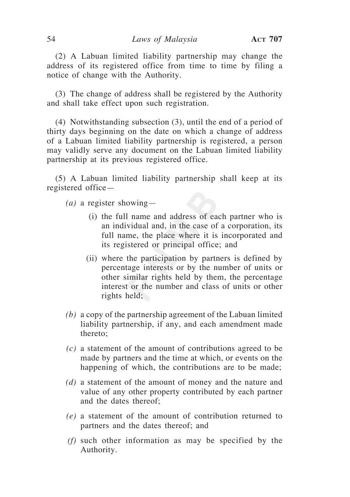(2) A Labuan limited liability partnership may change the address of its registered office from time to time by filing a notice of change with the Authority.

(3) The change of address shall be registered by the Authority and shall take effect upon such registration.

(4) Notwithstanding subsection (3), until the end of a period of thirty days beginning on the date on which a change of address of a Labuan limited liability partnership is registered, a person may validly serve any document on the Labuan limited liability partnership at its previous registered office.

(5) A Labuan limited liability partnership shall keep at its registered office—

*(a)* a register showing—

- (i) the full name and address of each partner who is an individual and, in the case of a corporation, its full name, the place where it is incorporated and its registered or principal office; and
- (ii) where the participation by partners is defined by percentage interests or by the number of units or other similar rights held by them, the percentage interest or the number and class of units or other rights held;
- *(b)* a copy of the partnership agreement of the Labuan limited liability partnership, if any, and each amendment made thereto;
- *(c)* a statement of the amount of contributions agreed to be made by partners and the time at which, or events on the happening of which, the contributions are to be made;
- *(d)* a statement of the amount of money and the nature and value of any other property contributed by each partner and the dates thereof;
- *(e)* a statement of the amount of contribution returned to partners and the dates thereof; and
- *(f)* such other information as may be specified by the Authority.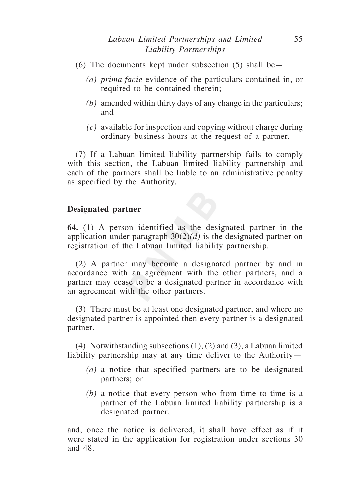- (6) The documents kept under subsection  $(5)$  shall be—
	- *(a) prima facie* evidence of the particulars contained in, or required to be contained therein;
	- *(b)* amended within thirty days of any change in the particulars; and
	- *(c)* available for inspection and copying without charge during ordinary business hours at the request of a partner.

(7) If a Labuan limited liability partnership fails to comply with this section, the Labuan limited liability partnership and each of the partners shall be liable to an administrative penalty as specified by the Authority.

# **Designated partner**

**64.** (1) A person identified as the designated partner in the application under paragraph 30(2)*(d)* is the designated partner on registration of the Labuan limited liability partnership.

(2) A partner may become a designated partner by and in accordance with an agreement with the other partners, and a partner may cease to be a designated partner in accordance with an agreement with the other partners.

(3) There must be at least one designated partner, and where no designated partner is appointed then every partner is a designated partner.

(4) Notwithstanding subsections (1), (2) and (3), a Labuan limited liability partnership may at any time deliver to the Authority—

- *(a)* a notice that specified partners are to be designated partners; or
- *(b)* a notice that every person who from time to time is a partner of the Labuan limited liability partnership is a designated partner,

and, once the notice is delivered, it shall have effect as if it were stated in the application for registration under sections 30 and 48.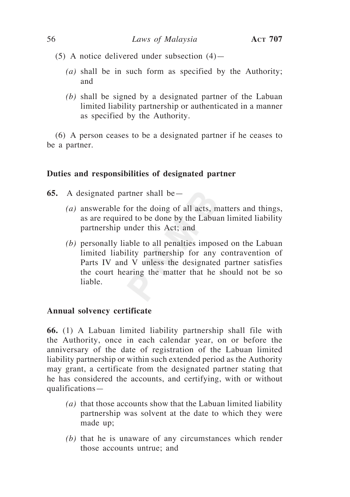- (5) A notice delivered under subsection  $(4)$ 
	- *(a)* shall be in such form as specified by the Authority; and
	- *(b)* shall be signed by a designated partner of the Labuan limited liability partnership or authenticated in a manner as specified by the Authority.

(6) A person ceases to be a designated partner if he ceases to be a partner.

# **Duties and responsibilities of designated partner**

- **65.** A designated partner shall be—
	- *(a)* answerable for the doing of all acts, matters and things, as are required to be done by the Labuan limited liability partnership under this Act; and
	- *(b)* personally liable to all penalties imposed on the Labuan limited liability partnership for any contravention of Parts IV and V unless the designated partner satisfies the court hearing the matter that he should not be so liable.

# **Annual solvency certificate**

**66.** (1) A Labuan limited liability partnership shall file with the Authority, once in each calendar year, on or before the anniversary of the date of registration of the Labuan limited liability partnership or within such extended period as the Authority may grant, a certificate from the designated partner stating that he has considered the accounts, and certifying, with or without qualifications—

- *(a)* that those accounts show that the Labuan limited liability partnership was solvent at the date to which they were made up;
- *(b)* that he is unaware of any circumstances which render those accounts untrue; and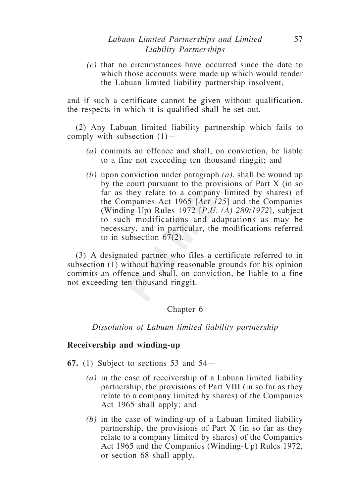*(c)* that no circumstances have occurred since the date to which those accounts were made up which would render the Labuan limited liability partnership insolvent,

and if such a certificate cannot be given without qualification, the respects in which it is qualified shall be set out.

(2) Any Labuan limited liability partnership which fails to comply with subsection  $(1)$ —

- *(a)* commits an offence and shall, on conviction, be liable to a fine not exceeding ten thousand ringgit; and
- *(b)* upon conviction under paragraph *(a)*, shall be wound up by the court pursuant to the provisions of Part X (in so far as they relate to a company limited by shares) of the Companies Act 1965 [*Act 125*] and the Companies (Winding-Up) Rules 1972 [*P.U. (A) 289/1972*], subject to such modifications and adaptations as may be necessary, and in particular, the modifications referred to in subsection 67(2).

(3) A designated partner who files a certificate referred to in subsection (1) without having reasonable grounds for his opinion commits an offence and shall, on conviction, be liable to a fine not exceeding ten thousand ringgit.

# Chapter 6

*Dissolution of Labuan limited liability partnership* 

#### **Receivership and winding-up**

- **67.** (1) Subject to sections 53 and 54—
	- *(a)* in the case of receivership of a Labuan limited liability partnership, the provisions of Part VIII (in so far as they relate to a company limited by shares) of the Companies Act 1965 shall apply; and
	- *(b)* in the case of winding-up of a Labuan limited liability partnership, the provisions of Part X (in so far as they relate to a company limited by shares) of the Companies Act 1965 and the Companies (Winding-Up) Rules 1972, or section 68 shall apply.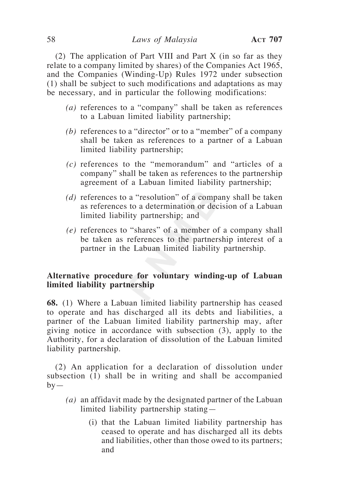(2) The application of Part VIII and Part X (in so far as they relate to a company limited by shares) of the Companies Act 1965, and the Companies (Winding-Up) Rules 1972 under subsection (1) shall be subject to such modifications and adaptations as may be necessary, and in particular the following modifications:

- *(a)* references to a "company" shall be taken as references to a Labuan limited liability partnership;
- *(b)* references to a "director" or to a "member" of a company shall be taken as references to a partner of a Labuan limited liability partnership;
- *(c)* references to the "memorandum" and "articles of a company" shall be taken as references to the partnership agreement of a Labuan limited liability partnership;
- *(d)* references to a "resolution" of a company shall be taken as references to a determination or decision of a Labuan limited liability partnership; and
- *(e)* references to "shares" of a member of a company shall be taken as references to the partnership interest of a partner in the Labuan limited liability partnership.

# **Alternative procedure for voluntary winding-up of Labuan limited liability partnership**

**68.** (1) Where a Labuan limited liability partnership has ceased to operate and has discharged all its debts and liabilities, a partner of the Labuan limited liability partnership may, after giving notice in accordance with subsection (3), apply to the Authority, for a declaration of dissolution of the Labuan limited liability partnership.

(2) An application for a declaration of dissolution under subsection (1) shall be in writing and shall be accompanied  $by-$ 

- *(a)* an affidavit made by the designated partner of the Labuan limited liability partnership stating—
	- (i) that the Labuan limited liability partnership has ceased to operate and has discharged all its debts and liabilities, other than those owed to its partners; and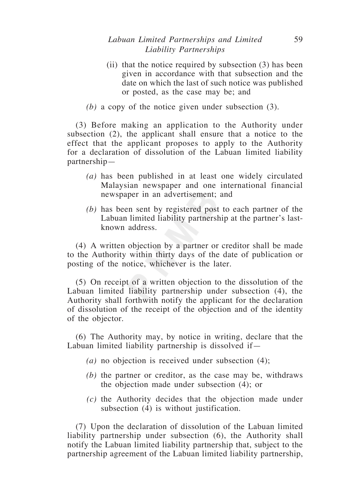# *Labuan Limited Partnerships and Limited* 59 *Liability Partnerships*

- (ii) that the notice required by subsection (3) has been given in accordance with that subsection and the date on which the last of such notice was published or posted, as the case may be; and
- *(b)* a copy of the notice given under subsection (3).

(3) Before making an application to the Authority under subsection (2), the applicant shall ensure that a notice to the effect that the applicant proposes to apply to the Authority for a declaration of dissolution of the Labuan limited liability partnership—

- *(a)* has been published in at least one widely circulated Malaysian newspaper and one international financial newspaper in an advertisement; and
- *(b)* has been sent by registered post to each partner of the Labuan limited liability partnership at the partner's lastknown address.

(4) A written objection by a partner or creditor shall be made to the Authority within thirty days of the date of publication or posting of the notice, whichever is the later.

(5) On receipt of a written objection to the dissolution of the Labuan limited liability partnership under subsection (4), the Authority shall forthwith notify the applicant for the declaration of dissolution of the receipt of the objection and of the identity of the objector.

(6) The Authority may, by notice in writing, declare that the Labuan limited liability partnership is dissolved if—

- *(a)* no objection is received under subsection (4);
- *(b)* the partner or creditor, as the case may be, withdraws the objection made under subsection (4); or
- *(c)* the Authority decides that the objection made under subsection (4) is without justification.

(7) Upon the declaration of dissolution of the Labuan limited liability partnership under subsection (6), the Authority shall notify the Labuan limited liability partnership that, subject to the partnership agreement of the Labuan limited liability partnership,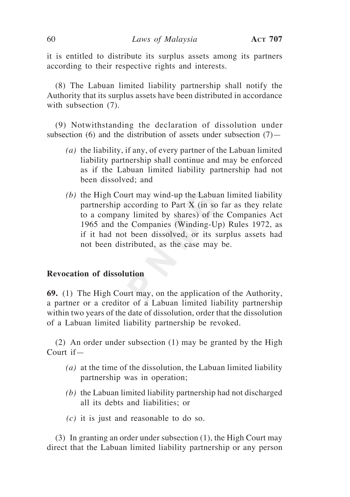it is entitled to distribute its surplus assets among its partners according to their respective rights and interests.

(8) The Labuan limited liability partnership shall notify the Authority that its surplus assets have been distributed in accordance with subsection (7).

(9) Notwithstanding the declaration of dissolution under subsection (6) and the distribution of assets under subsection  $(7)$ —

- *(a)* the liability, if any, of every partner of the Labuan limited liability partnership shall continue and may be enforced as if the Labuan limited liability partnership had not been dissolved; and
- *(b)* the High Court may wind-up the Labuan limited liability partnership according to Part X (in so far as they relate to a company limited by shares) of the Companies Act 1965 and the Companies (Winding-Up) Rules 1972, as if it had not been dissolved, or its surplus assets had not been distributed, as the case may be.

## **Revocation of dissolution**

**69.** (1) The High Court may, on the application of the Authority, a partner or a creditor of a Labuan limited liability partnership within two years of the date of dissolution, order that the dissolution of a Labuan limited liability partnership be revoked.

(2) An order under subsection (1) may be granted by the High Court if—

- *(a)* at the time of the dissolution, the Labuan limited liability partnership was in operation;
- *(b)* the Labuan limited liability partnership had not discharged all its debts and liabilities; or
- *(c)* it is just and reasonable to do so.

(3) In granting an order under subsection (1), the High Court may direct that the Labuan limited liability partnership or any person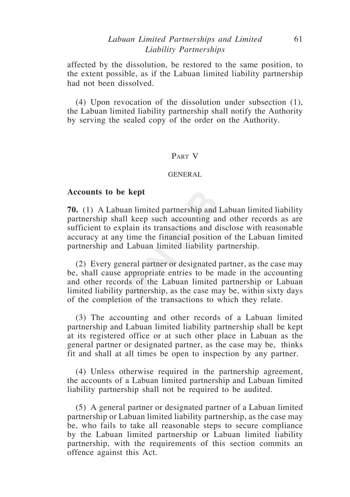# *Labuan Limited Partnerships and Limited* 61 *Liability Partnerships*

affected by the dissolution, be restored to the same position, to the extent possible, as if the Labuan limited liability partnership had not been dissolved.

(4) Upon revocation of the dissolution under subsection (1), the Labuan limited liability partnership shall notify the Authority by serving the sealed copy of the order on the Authority.

#### Part V

#### GENERAL

#### **Accounts to be kept**

**70.** (1) A Labuan limited partnership and Labuan limited liability partnership shall keep such accounting and other records as are sufficient to explain its transactions and disclose with reasonable accuracy at any time the financial position of the Labuan limited partnership and Labuan limited liability partnership.

(2) Every general partner or designated partner, as the case may be, shall cause appropriate entries to be made in the accounting and other records of the Labuan limited partnership or Labuan limited liability partnership, as the case may be, within sixty days of the completion of the transactions to which they relate.

(3) The accounting and other records of a Labuan limited partnership and Labuan limited liability partnership shall be kept at its registered office or at such other place in Labuan as the general partner or designated partner, as the case may be, thinks fit and shall at all times be open to inspection by any partner.

(4) Unless otherwise required in the partnership agreement, the accounts of a Labuan limited partnership and Labuan limited liability partnership shall not be required to be audited.

(5) A general partner or designated partner of a Labuan limited partnership or Labuan limited liability partnership, as the case may be, who fails to take all reasonable steps to secure compliance by the Labuan limited partnership or Labuan limited liability partnership, with the requirements of this section commits an offence against this Act.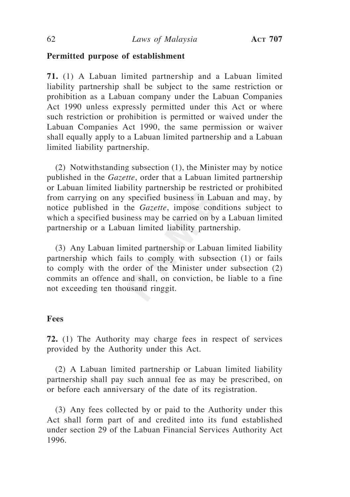# **Permitted purpose of establishment**

**71.** (1) A Labuan limited partnership and a Labuan limited liability partnership shall be subject to the same restriction or prohibition as a Labuan company under the Labuan Companies Act 1990 unless expressly permitted under this Act or where such restriction or prohibition is permitted or waived under the Labuan Companies Act 1990, the same permission or waiver shall equally apply to a Labuan limited partnership and a Labuan limited liability partnership.

(2) Notwithstanding subsection (1), the Minister may by notice published in the *Gazette*, order that a Labuan limited partnership or Labuan limited liability partnership be restricted or prohibited from carrying on any specified business in Labuan and may, by notice published in the *Gazette*, impose conditions subject to which a specified business may be carried on by a Labuan limited partnership or a Labuan limited liability partnership.

(3) Any Labuan limited partnership or Labuan limited liability partnership which fails to comply with subsection (1) or fails to comply with the order of the Minister under subsection (2) commits an offence and shall, on conviction, be liable to a fine not exceeding ten thousand ringgit.

#### **Fees**

**72.** (1) The Authority may charge fees in respect of services provided by the Authority under this Act.

(2) A Labuan limited partnership or Labuan limited liability partnership shall pay such annual fee as may be prescribed, on or before each anniversary of the date of its registration.

(3) Any fees collected by or paid to the Authority under this Act shall form part of and credited into its fund established under section 29 of the Labuan Financial Services Authority Act 1996.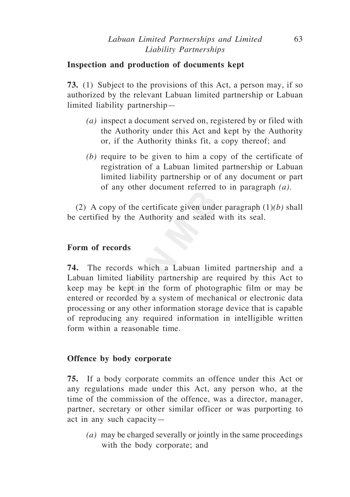# **Inspection and production of documents kept**

**73.** (1) Subject to the provisions of this Act, a person may, if so authorized by the relevant Labuan limited partnership or Labuan limited liability partnership—

- *(a)* inspect a document served on, registered by or filed with the Authority under this Act and kept by the Authority or, if the Authority thinks fit, a copy thereof; and
- *(b)* require to be given to him a copy of the certificate of registration of a Labuan limited partnership or Labuan limited liability partnership or of any document or part of any other document referred to in paragraph *(a).*

(2) A copy of the certificate given under paragraph (1)*(b)* shall be certified by the Authority and sealed with its seal.

# **Form of records**

**74.** The records which a Labuan limited partnership and a Labuan limited liability partnership are required by this Act to keep may be kept in the form of photographic film or may be entered or recorded by a system of mechanical or electronic data processing or any other information storage device that is capable of reproducing any required information in intelligible written form within a reasonable time.

# **Offence by body corporate**

**75.** If a body corporate commits an offence under this Act or any regulations made under this Act, any person who, at the time of the commission of the offence, was a director, manager, partner, secretary or other similar officer or was purporting to act in any such capacity—

*(a)* may be charged severally or jointly in the same proceedings with the body corporate; and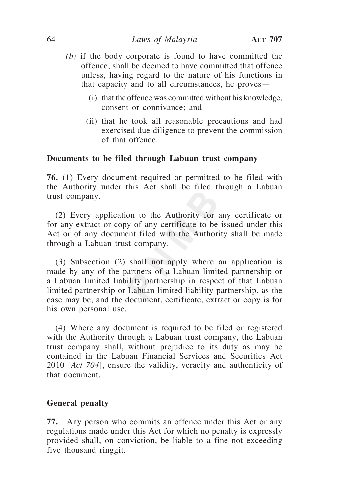- *(b)* if the body corporate is found to have committed the offence, shall be deemed to have committed that offence unless, having regard to the nature of his functions in that capacity and to all circumstances, he proves—
	- (i) that the offence was committed without his knowledge, consent or connivance; and
	- (ii) that he took all reasonable precautions and had exercised due diligence to prevent the commission of that offence.

#### **Documents to be filed through Labuan trust company**

**76.** (1) Every document required or permitted to be filed with the Authority under this Act shall be filed through a Labuan trust company.

(2) Every application to the Authority for any certificate or for any extract or copy of any certificate to be issued under this Act or of any document filed with the Authority shall be made through a Labuan trust company.

(3) Subsection (2) shall not apply where an application is made by any of the partners of a Labuan limited partnership or a Labuan limited liability partnership in respect of that Labuan limited partnership or Labuan limited liability partnership, as the case may be, and the document, certificate, extract or copy is for his own personal use.

(4) Where any document is required to be filed or registered with the Authority through a Labuan trust company, the Labuan trust company shall, without prejudice to its duty as may be contained in the Labuan Financial Services and Securities Act 2010 [*Act 704*], ensure the validity, veracity and authenticity of that document.

#### **General penalty**

**77.** Any person who commits an offence under this Act or any regulations made under this Act for which no penalty is expressly provided shall, on conviction, be liable to a fine not exceeding five thousand ringgit.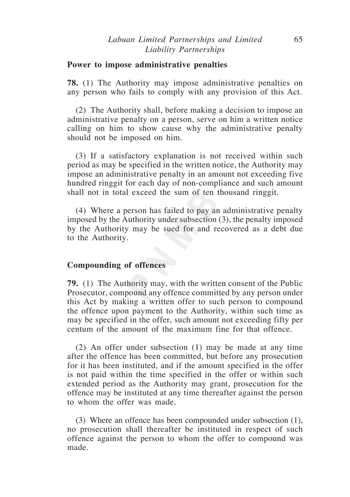#### **Power to impose administrative penalties**

**78.** (1) The Authority may impose administrative penalties on any person who fails to comply with any provision of this Act.

(2) The Authority shall, before making a decision to impose an administrative penalty on a person, serve on him a written notice calling on him to show cause why the administrative penalty should not be imposed on him.

(3) If a satisfactory explanation is not received within such period as may be specified in the written notice, the Authority may impose an administrative penalty in an amount not exceeding five hundred ringgit for each day of non-compliance and such amount shall not in total exceed the sum of ten thousand ringgit.

(4) Where a person has failed to pay an administrative penalty imposed by the Authority under subsection (3), the penalty imposed by the Authority may be sued for and recovered as a debt due to the Authority.

#### **Compounding of offences**

**79.** (1) The Authority may, with the written consent of the Public Prosecutor, compound any offence committed by any person under this Act by making a written offer to such person to compound the offence upon payment to the Authority, within such time as may be specified in the offer, such amount not exceeding fifty per centum of the amount of the maximum fine for that offence.

(2) An offer under subsection (1) may be made at any time after the offence has been committed, but before any prosecution for it has been instituted, and if the amount specified in the offer is not paid within the time specified in the offer or within such extended period as the Authority may grant, prosecution for the offence may be instituted at any time thereafter against the person to whom the offer was made.

(3) Where an offence has been compounded under subsection (1), no prosecution shall thereafter be instituted in respect of such offence against the person to whom the offer to compound was made.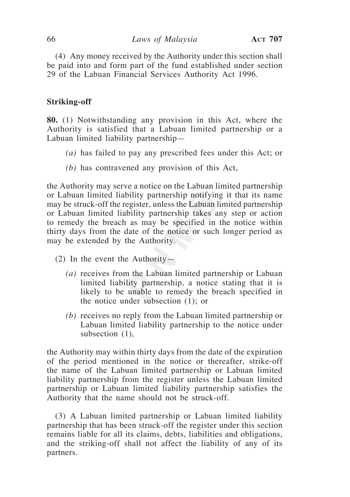(4) Any money received by the Authority under this section shall be paid into and form part of the fund established under section 29 of the Labuan Financial Services Authority Act 1996.

## **Striking-off**

**80.** (1) Notwithstanding any provision in this Act, where the Authority is satisfied that a Labuan limited partnership or a Labuan limited liability partnership—

- *(a)* has failed to pay any prescribed fees under this Act; or
- *(b)* has contravened any provision of this Act,

the Authority may serve a notice on the Labuan limited partnership or Labuan limited liability partnership notifying it that its name may be struck-off the register, unless the Labuan limited partnership or Labuan limited liability partnership takes any step or action to remedy the breach as may be specified in the notice within thirty days from the date of the notice or such longer period as may be extended by the Authority.

- (2) In the event the Authority—
	- *(a)* receives from the Labuan limited partnership or Labuan limited liability partnership, a notice stating that it is likely to be unable to remedy the breach specified in the notice under subsection (1); or
	- *(b)* receives no reply from the Labuan limited partnership or Labuan limited liability partnership to the notice under subsection (1),

the Authority may within thirty days from the date of the expiration of the period mentioned in the notice or thereafter, strike-off the name of the Labuan limited partnership or Labuan limited liability partnership from the register unless the Labuan limited partnership or Labuan limited liability partnership satisfies the Authority that the name should not be struck-off.

(3) A Labuan limited partnership or Labuan limited liability partnership that has been struck-off the register under this section remains liable for all its claims, debts, liabilities and obligations, and the striking-off shall not affect the liability of any of its partners.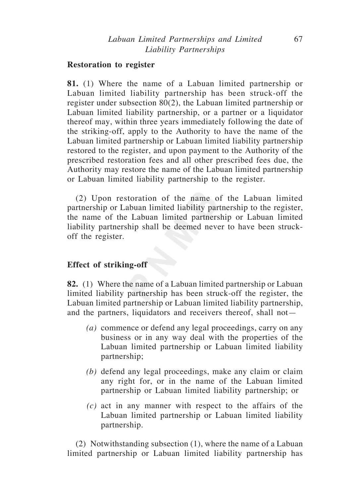#### **Restoration to register**

**81.** (1) Where the name of a Labuan limited partnership or Labuan limited liability partnership has been struck-off the register under subsection 80(2), the Labuan limited partnership or Labuan limited liability partnership, or a partner or a liquidator thereof may, within three years immediately following the date of the striking-off, apply to the Authority to have the name of the Labuan limited partnership or Labuan limited liability partnership restored to the register, and upon payment to the Authority of the prescribed restoration fees and all other prescribed fees due, the Authority may restore the name of the Labuan limited partnership or Labuan limited liability partnership to the register.

(2) Upon restoration of the name of the Labuan limited partnership or Labuan limited liability partnership to the register, the name of the Labuan limited partnership or Labuan limited liability partnership shall be deemed never to have been struckoff the register.

# **Effect of striking-off**

**82.** (1) Where the name of a Labuan limited partnership or Labuan limited liability partnership has been struck-off the register, the Labuan limited partnership or Labuan limited liability partnership, and the partners, liquidators and receivers thereof, shall not—

- *(a)* commence or defend any legal proceedings, carry on any business or in any way deal with the properties of the Labuan limited partnership or Labuan limited liability partnership;
- *(b)* defend any legal proceedings, make any claim or claim any right for, or in the name of the Labuan limited partnership or Labuan limited liability partnership; or
- *(c)* act in any manner with respect to the affairs of the Labuan limited partnership or Labuan limited liability partnership.

(2) Notwithstanding subsection (1), where the name of a Labuan limited partnership or Labuan limited liability partnership has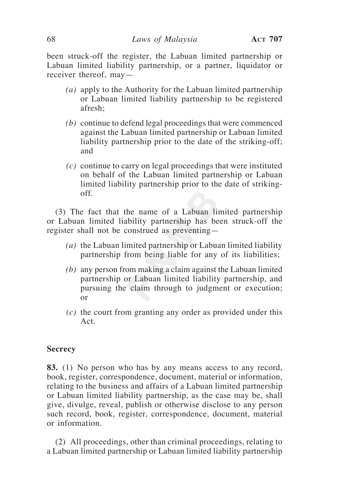been struck-off the register, the Labuan limited partnership or Labuan limited liability partnership, or a partner, liquidator or receiver thereof, may—

- *(a)* apply to the Authority for the Labuan limited partnership or Labuan limited liability partnership to be registered afresh;
- *(b)* continue to defend legal proceedings that were commenced against the Labuan limited partnership or Labuan limited liability partnership prior to the date of the striking-off; and
- *(c)* continue to carry on legal proceedings that were instituted on behalf of the Labuan limited partnership or Labuan limited liability partnership prior to the date of strikingoff.

(3) The fact that the name of a Labuan limited partnership or Labuan limited liability partnership has been struck-off the register shall not be construed as preventing—

- *(a)* the Labuan limited partnership or Labuan limited liability partnership from being liable for any of its liabilities;
- *(b)* any person from making a claim against the Labuan limited partnership or Labuan limited liability partnership, and pursuing the claim through to judgment or execution; or
- *(c)* the court from granting any order as provided under this Act.

#### **Secrecy**

**83.** (1) No person who has by any means access to any record, book, register, correspondence, document, material or information, relating to the business and affairs of a Labuan limited partnership or Labuan limited liability partnership, as the case may be, shall give, divulge, reveal, publish or otherwise disclose to any person such record, book, register, correspondence, document, material or information.

(2) All proceedings, other than criminal proceedings, relating to a Labuan limited partnership or Labuan limited liability partnership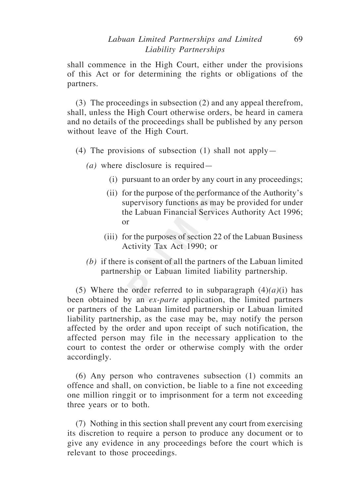shall commence in the High Court, either under the provisions of this Act or for determining the rights or obligations of the partners.

(3) The proceedings in subsection (2) and any appeal therefrom, shall, unless the High Court otherwise orders, be heard in camera and no details of the proceedings shall be published by any person without leave of the High Court.

- (4) The provisions of subsection (1) shall not apply—
	- *(a)* where disclosure is required—
		- (i) pursuant to an order by any court in any proceedings;
		- (ii) for the purpose of the performance of the Authority's supervisory functions as may be provided for under the Labuan Financial Services Authority Act 1996; or
		- (iii) for the purposes of section 22 of the Labuan Business Activity Tax Act 1990; or
	- *(b)* if there is consent of all the partners of the Labuan limited partnership or Labuan limited liability partnership.

(5) Where the order referred to in subparagraph  $(4)(a)(i)$  has been obtained by an *ex-parte* application, the limited partners or partners of the Labuan limited partnership or Labuan limited liability partnership, as the case may be, may notify the person affected by the order and upon receipt of such notification, the affected person may file in the necessary application to the court to contest the order or otherwise comply with the order accordingly.

(6) Any person who contravenes subsection (1) commits an offence and shall, on conviction, be liable to a fine not exceeding one million ringgit or to imprisonment for a term not exceeding three years or to both.

(7) Nothing in this section shall prevent any court from exercising its discretion to require a person to produce any document or to give any evidence in any proceedings before the court which is relevant to those proceedings.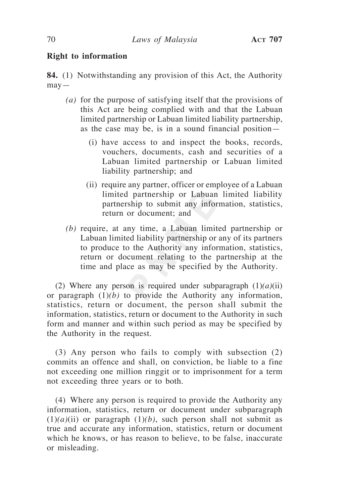# **Right to information**

**84.** (1) Notwithstanding any provision of this Act, the Authority may—

- *(a)* for the purpose of satisfying itself that the provisions of this Act are being complied with and that the Labuan limited partnership or Labuan limited liability partnership, as the case may be, is in a sound financial position—
	- (i) have access to and inspect the books, records, vouchers, documents, cash and securities of a Labuan limited partnership or Labuan limited liability partnership; and
	- (ii) require any partner, officer or employee of a Labuan limited partnership or Labuan limited liability partnership to submit any information, statistics, return or document; and
- *(b)* require, at any time, a Labuan limited partnership or Labuan limited liability partnership or any of its partners to produce to the Authority any information, statistics, return or document relating to the partnership at the time and place as may be specified by the Authority.

(2) Where any person is required under subparagraph  $(1)(a)(ii)$ or paragraph  $(1)(b)$  to provide the Authority any information, statistics, return or document, the person shall submit the information, statistics, return or document to the Authority in such form and manner and within such period as may be specified by the Authority in the request.

(3) Any person who fails to comply with subsection (2) commits an offence and shall, on conviction, be liable to a fine not exceeding one million ringgit or to imprisonment for a term not exceeding three years or to both.

(4) Where any person is required to provide the Authority any information, statistics, return or document under subparagraph  $(1)(a)(ii)$  or paragraph  $(1)(b)$ , such person shall not submit as true and accurate any information, statistics, return or document which he knows, or has reason to believe, to be false, inaccurate or misleading.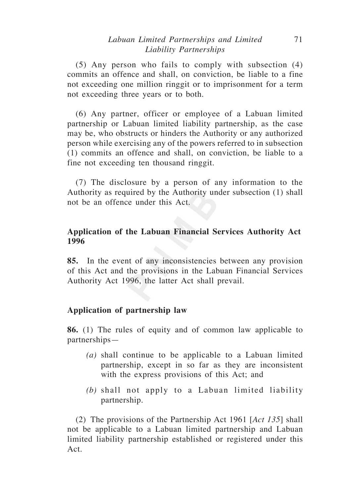# *Labuan Limited Partnerships and Limited* 71 *Liability Partnerships*

(5) Any person who fails to comply with subsection (4) commits an offence and shall, on conviction, be liable to a fine not exceeding one million ringgit or to imprisonment for a term not exceeding three years or to both.

(6) Any partner, officer or employee of a Labuan limited partnership or Labuan limited liability partnership, as the case may be, who obstructs or hinders the Authority or any authorized person while exercising any of the powers referred to in subsection (1) commits an offence and shall, on conviction, be liable to a fine not exceeding ten thousand ringgit.

(7) The disclosure by a person of any information to the Authority as required by the Authority under subsection (1) shall not be an offence under this Act.

# **Application of the Labuan Financial Services Authority Act 1996**

**85.** In the event of any inconsistencies between any provision of this Act and the provisions in the Labuan Financial Services Authority Act 1996, the latter Act shall prevail.

# **Application of partnership law**

**86.** (1) The rules of equity and of common law applicable to partnerships—

- *(a)* shall continue to be applicable to a Labuan limited partnership, except in so far as they are inconsistent with the express provisions of this Act; and
- *(b)* shall not apply to a Labuan limited liability partnership.

(2) The provisions of the Partnership Act 1961 [*Act 135*] shall not be applicable to a Labuan limited partnership and Labuan limited liability partnership established or registered under this Act.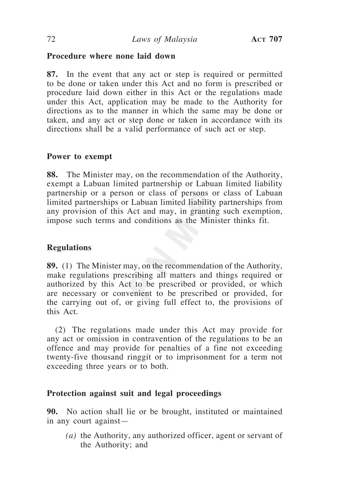# **Procedure where none laid down**

**87.** In the event that any act or step is required or permitted to be done or taken under this Act and no form is prescribed or procedure laid down either in this Act or the regulations made under this Act, application may be made to the Authority for directions as to the manner in which the same may be done or taken, and any act or step done or taken in accordance with its directions shall be a valid performance of such act or step.

# **Power to exempt**

**88.** The Minister may, on the recommendation of the Authority, exempt a Labuan limited partnership or Labuan limited liability partnership or a person or class of persons or class of Labuan limited partnerships or Labuan limited liability partnerships from any provision of this Act and may, in granting such exemption, impose such terms and conditions as the Minister thinks fit.

# **Regulations**

**89.** (1) The Minister may, on the recommendation of the Authority, make regulations prescribing all matters and things required or authorized by this Act to be prescribed or provided, or which are necessary or convenient to be prescribed or provided, for the carrying out of, or giving full effect to, the provisions of this Act.

(2) The regulations made under this Act may provide for any act or omission in contravention of the regulations to be an offence and may provide for penalties of a fine not exceeding twenty-five thousand ringgit or to imprisonment for a term not exceeding three years or to both.

# **Protection against suit and legal proceedings**

**90.** No action shall lie or be brought, instituted or maintained in any court against—

*(a)* the Authority, any authorized officer, agent or servant of the Authority; and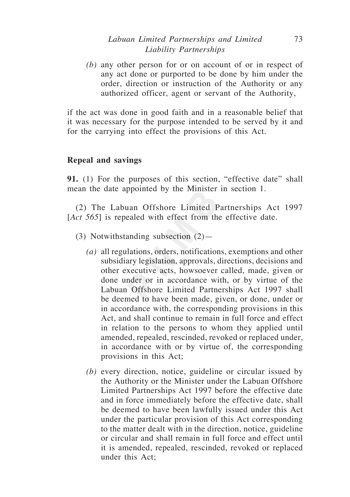## *Labuan Limited Partnerships and Limited* 73 *Liability Partnerships*

*(b)* any other person for or on account of or in respect of any act done or purported to be done by him under the order, direction or instruction of the Authority or any authorized officer, agent or servant of the Authority,

if the act was done in good faith and in a reasonable belief that it was necessary for the purpose intended to be served by it and for the carrying into effect the provisions of this Act.

## **Repeal and savings**

**91.** (1) For the purposes of this section, "effective date" shall mean the date appointed by the Minister in section 1.

(2) The Labuan Offshore Limited Partnerships Act 1997 [*Act 565*] is repealed with effect from the effective date.

- (3) Notwithstanding subsection (2)—
	- *(a)* all regulations, orders, notifications, exemptions and other subsidiary legislation, approvals, directions, decisions and other executive acts, howsoever called, made, given or done under or in accordance with, or by virtue of the Labuan Offshore Limited Partnerships Act 1997 shall be deemed to have been made, given, or done, under or in accordance with, the corresponding provisions in this Act, and shall continue to remain in full force and effect in relation to the persons to whom they applied until amended, repealed, rescinded, revoked or replaced under, in accordance with or by virtue of, the corresponding provisions in this Act;
	- *(b)* every direction, notice, guideline or circular issued by the Authority or the Minister under the Labuan Offshore Limited Partnerships Act 1997 before the effective date and in force immediately before the effective date, shall be deemed to have been lawfully issued under this Act under the particular provision of this Act corresponding to the matter dealt with in the direction, notice, guideline or circular and shall remain in full force and effect until it is amended, repealed, rescinded, revoked or replaced under this Act;